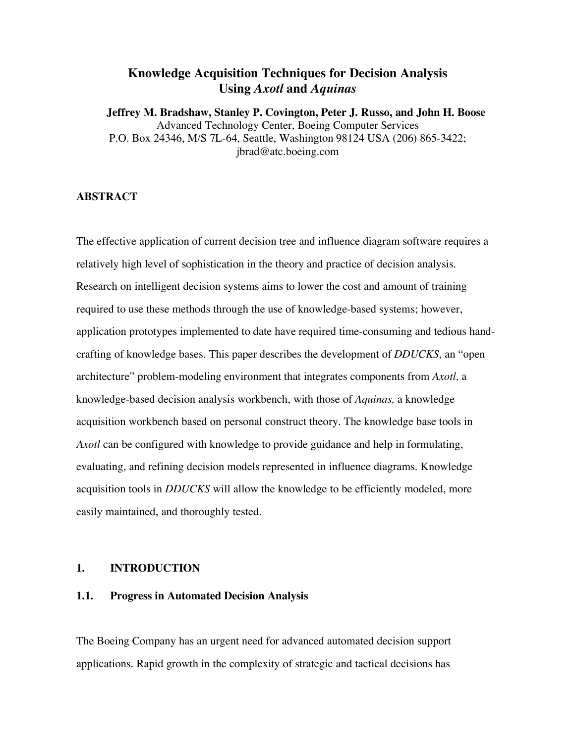# **Knowledge Acquisition Techniques for Decision Analysis Using** *Axotl* **and** *Aquinas*

**Jeffrey M. Bradshaw, Stanley P. Covington, Peter J. Russo, and John H. Boose** Advanced Technology Center, Boeing Computer Services P.O. Box 24346, M/S 7L-64, Seattle, Washington 98124 USA (206) 865-3422; jbrad@atc.boeing.com

### **ABSTRACT**

The effective application of current decision tree and influence diagram software requires a relatively high level of sophistication in the theory and practice of decision analysis. Research on intelligent decision systems aims to lower the cost and amount of training required to use these methods through the use of knowledge-based systems; however, application prototypes implemented to date have required time-consuming and tedious handcrafting of knowledge bases. This paper describes the development of *DDUCKS*, an "open architecture" problem-modeling environment that integrates components from *Axotl,* a knowledge-based decision analysis workbench, with those of *Aquinas,* a knowledge acquisition workbench based on personal construct theory. The knowledge base tools in *Axotl* can be configured with knowledge to provide guidance and help in formulating, evaluating, and refining decision models represented in influence diagrams. Knowledge acquisition tools in *DDUCKS* will allow the knowledge to be efficiently modeled, more easily maintained, and thoroughly tested.

## **1. INTRODUCTION**

### **1.1. Progress in Automated Decision Analysis**

The Boeing Company has an urgent need for advanced automated decision support applications. Rapid growth in the complexity of strategic and tactical decisions has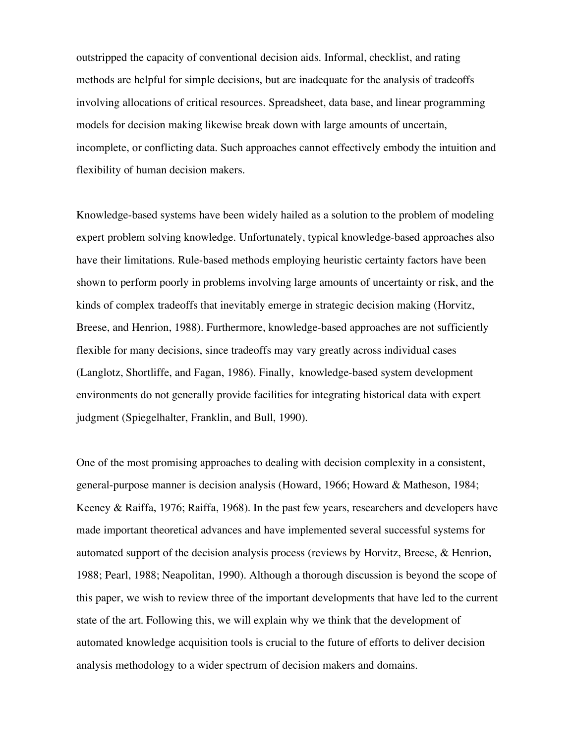outstripped the capacity of conventional decision aids. Informal, checklist, and rating methods are helpful for simple decisions, but are inadequate for the analysis of tradeoffs involving allocations of critical resources. Spreadsheet, data base, and linear programming models for decision making likewise break down with large amounts of uncertain, incomplete, or conflicting data. Such approaches cannot effectively embody the intuition and flexibility of human decision makers.

Knowledge-based systems have been widely hailed as a solution to the problem of modeling expert problem solving knowledge. Unfortunately, typical knowledge-based approaches also have their limitations. Rule-based methods employing heuristic certainty factors have been shown to perform poorly in problems involving large amounts of uncertainty or risk, and the kinds of complex tradeoffs that inevitably emerge in strategic decision making (Horvitz, Breese, and Henrion, 1988). Furthermore, knowledge-based approaches are not sufficiently flexible for many decisions, since tradeoffs may vary greatly across individual cases (Langlotz, Shortliffe, and Fagan, 1986). Finally, knowledge-based system development environments do not generally provide facilities for integrating historical data with expert judgment (Spiegelhalter, Franklin, and Bull, 1990).

One of the most promising approaches to dealing with decision complexity in a consistent, general-purpose manner is decision analysis (Howard, 1966; Howard & Matheson, 1984; Keeney & Raiffa, 1976; Raiffa, 1968). In the past few years, researchers and developers have made important theoretical advances and have implemented several successful systems for automated support of the decision analysis process (reviews by Horvitz, Breese, & Henrion, 1988; Pearl, 1988; Neapolitan, 1990). Although a thorough discussion is beyond the scope of this paper, we wish to review three of the important developments that have led to the current state of the art. Following this, we will explain why we think that the development of automated knowledge acquisition tools is crucial to the future of efforts to deliver decision analysis methodology to a wider spectrum of decision makers and domains.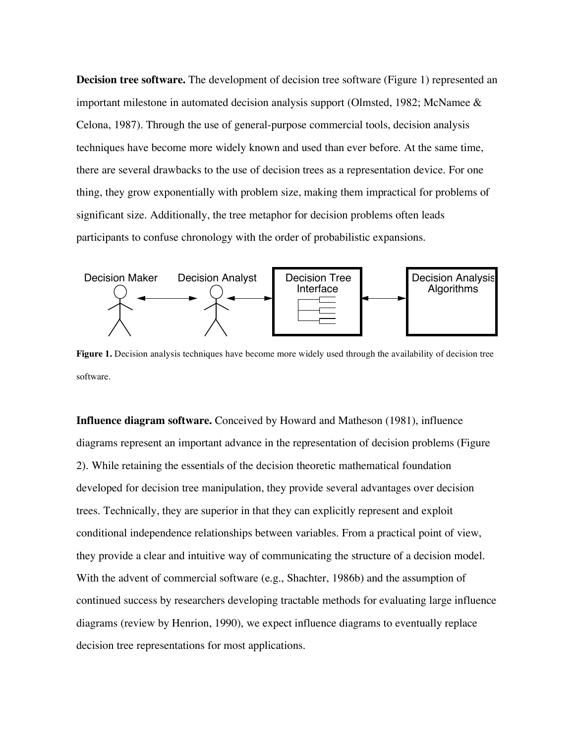**Decision tree software.** The development of decision tree software (Figure 1) represented an important milestone in automated decision analysis support (Olmsted, 1982; McNamee & Celona, 1987). Through the use of general-purpose commercial tools, decision analysis techniques have become more widely known and used than ever before. At the same time, there are several drawbacks to the use of decision trees as a representation device. For one thing, they grow exponentially with problem size, making them impractical for problems of significant size. Additionally, the tree metaphor for decision problems often leads participants to confuse chronology with the order of probabilistic expansions.



**Figure 1.** Decision analysis techniques have become more widely used through the availability of decision tree software.

**Influence diagram software.** Conceived by Howard and Matheson (1981), influence diagrams represent an important advance in the representation of decision problems (Figure 2). While retaining the essentials of the decision theoretic mathematical foundation developed for decision tree manipulation, they provide several advantages over decision trees. Technically, they are superior in that they can explicitly represent and exploit conditional independence relationships between variables. From a practical point of view, they provide a clear and intuitive way of communicating the structure of a decision model. With the advent of commercial software (e.g., Shachter, 1986b) and the assumption of continued success by researchers developing tractable methods for evaluating large influence diagrams (review by Henrion, 1990), we expect influence diagrams to eventually replace decision tree representations for most applications.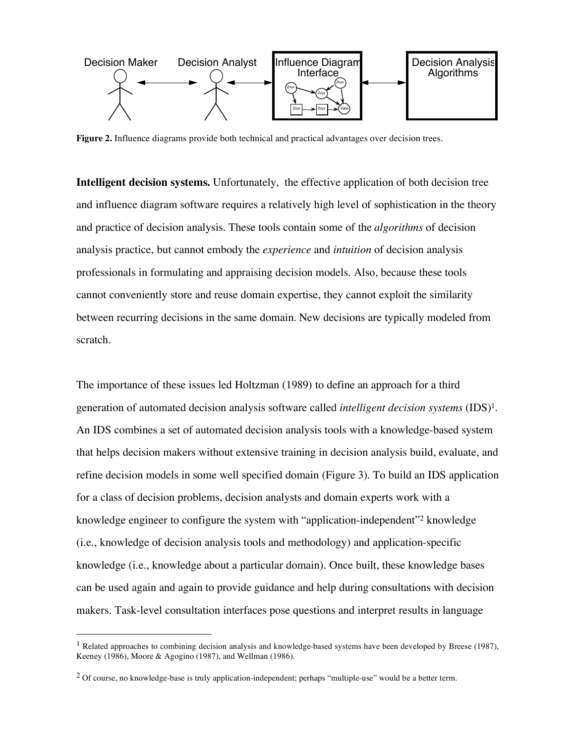

**Figure 2.** Influence diagrams provide both technical and practical advantages over decision trees.

**Intelligent decision systems.** Unfortunately, the effective application of both decision tree and influence diagram software requires a relatively high level of sophistication in the theory and practice of decision analysis. These tools contain some of the *algorithms* of decision analysis practice, but cannot embody the *experience* and *intuition* of decision analysis professionals in formulating and appraising decision models. Also, because these tools cannot conveniently store and reuse domain expertise, they cannot exploit the similarity between recurring decisions in the same domain. New decisions are typically modeled from scratch.

The importance of these issues led Holtzman (1989) to define an approach for a third generation of automated decision analysis software called *intelligent decision systems* (IDS)1. An IDS combines a set of automated decision analysis tools with a knowledge-based system that helps decision makers without extensive training in decision analysis build, evaluate, and refine decision models in some well specified domain (Figure 3). To build an IDS application for a class of decision problems, decision analysts and domain experts work with a knowledge engineer to configure the system with "application-independent"2 knowledge (i.e., knowledge of decision analysis tools and methodology) and application-specific knowledge (i.e., knowledge about a particular domain). Once built, these knowledge bases can be used again and again to provide guidance and help during consultations with decision makers. Task-level consultation interfaces pose questions and interpret results in language

 $1$  Related approaches to combining decision analysis and knowledge-based systems have been developed by Breese (1987), Keeney (1986), Moore & Agogino (1987), and Wellman (1986).

 $2$  Of course, no knowledge-base is truly application-independent; perhaps "multiple-use" would be a better term.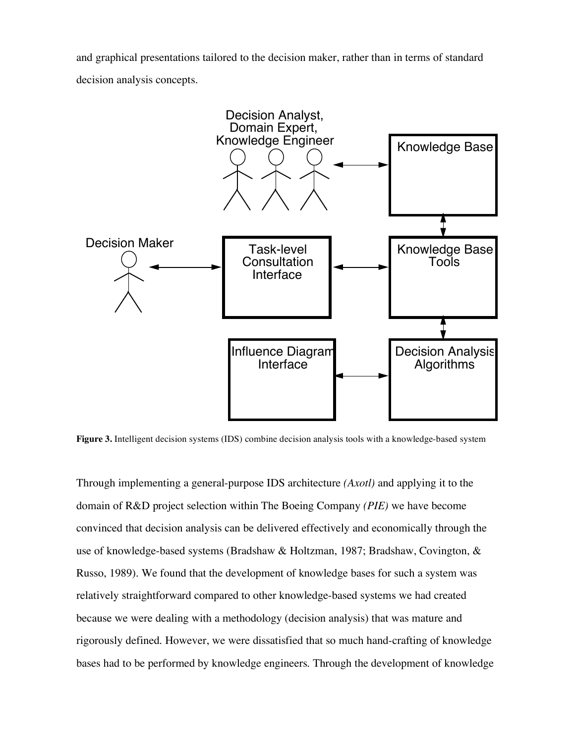and graphical presentations tailored to the decision maker, rather than in terms of standard decision analysis concepts.



**Figure 3.** Intelligent decision systems (IDS) combine decision analysis tools with a knowledge-based system

Through implementing a general-purpose IDS architecture *(Axotl)* and applying it to the domain of R&D project selection within The Boeing Company *(PIE)* we have become convinced that decision analysis can be delivered effectively and economically through the use of knowledge-based systems (Bradshaw & Holtzman, 1987; Bradshaw, Covington, & Russo, 1989). We found that the development of knowledge bases for such a system was relatively straightforward compared to other knowledge-based systems we had created because we were dealing with a methodology (decision analysis) that was mature and rigorously defined. However, we were dissatisfied that so much hand-crafting of knowledge bases had to be performed by knowledge engineers. Through the development of knowledge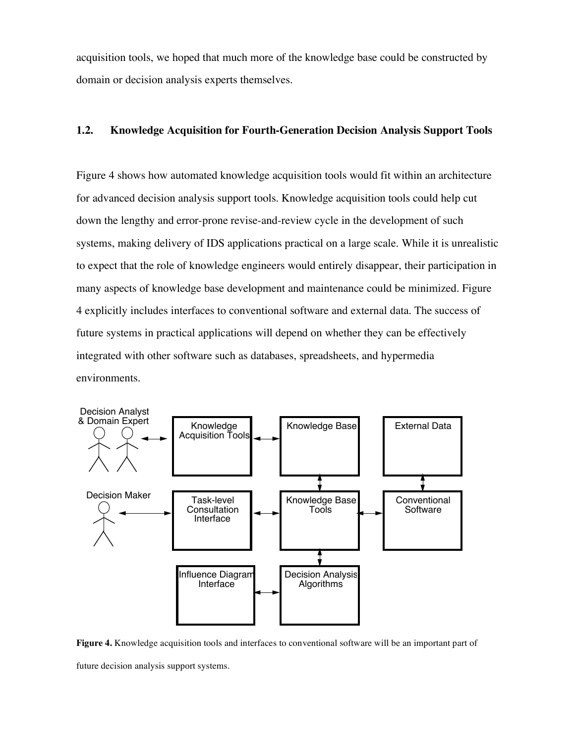acquisition tools, we hoped that much more of the knowledge base could be constructed by domain or decision analysis experts themselves.

# **1.2. Knowledge Acquisition for Fourth-Generation Decision Analysis Support Tools**

Figure 4 shows how automated knowledge acquisition tools would fit within an architecture for advanced decision analysis support tools. Knowledge acquisition tools could help cut down the lengthy and error-prone revise-and-review cycle in the development of such systems, making delivery of IDS applications practical on a large scale. While it is unrealistic to expect that the role of knowledge engineers would entirely disappear, their participation in many aspects of knowledge base development and maintenance could be minimized. Figure 4 explicitly includes interfaces to conventional software and external data. The success of future systems in practical applications will depend on whether they can be effectively integrated with other software such as databases, spreadsheets, and hypermedia environments.



**Figure 4.** Knowledge acquisition tools and interfaces to conventional software will be an important part of

future decision analysis support systems.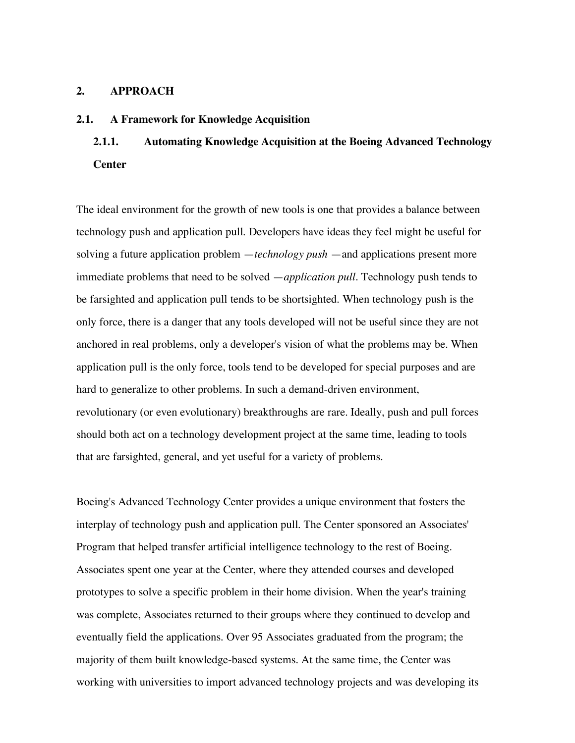### **2. APPROACH**

#### **2.1. A Framework for Knowledge Acquisition**

# **2.1.1. Automating Knowledge Acquisition at the Boeing Advanced Technology Center**

The ideal environment for the growth of new tools is one that provides a balance between technology push and application pull. Developers have ideas they feel might be useful for solving a future application problem —*technology push* —and applications present more immediate problems that need to be solved —*application pull*. Technology push tends to be farsighted and application pull tends to be shortsighted. When technology push is the only force, there is a danger that any tools developed will not be useful since they are not anchored in real problems, only a developer's vision of what the problems may be. When application pull is the only force, tools tend to be developed for special purposes and are hard to generalize to other problems. In such a demand-driven environment, revolutionary (or even evolutionary) breakthroughs are rare. Ideally, push and pull forces should both act on a technology development project at the same time, leading to tools that are farsighted, general, and yet useful for a variety of problems.

Boeing's Advanced Technology Center provides a unique environment that fosters the interplay of technology push and application pull. The Center sponsored an Associates' Program that helped transfer artificial intelligence technology to the rest of Boeing. Associates spent one year at the Center, where they attended courses and developed prototypes to solve a specific problem in their home division. When the year's training was complete, Associates returned to their groups where they continued to develop and eventually field the applications. Over 95 Associates graduated from the program; the majority of them built knowledge-based systems. At the same time, the Center was working with universities to import advanced technology projects and was developing its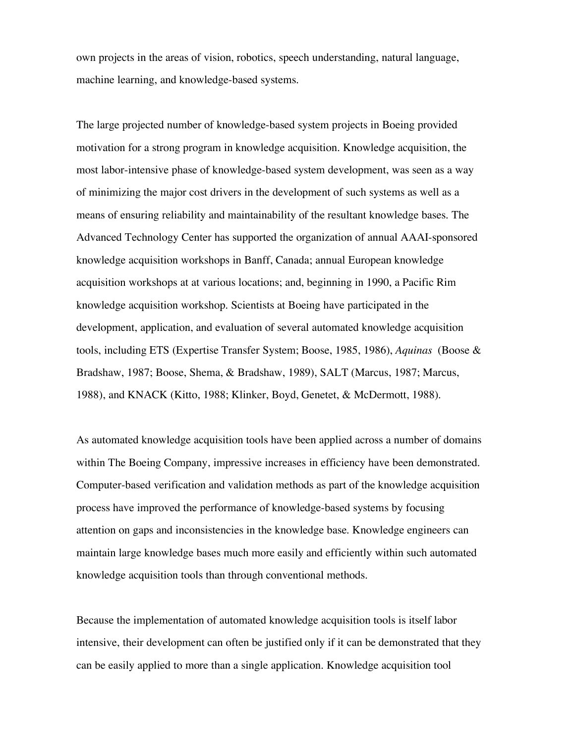own projects in the areas of vision, robotics, speech understanding, natural language, machine learning, and knowledge-based systems.

The large projected number of knowledge-based system projects in Boeing provided motivation for a strong program in knowledge acquisition. Knowledge acquisition, the most labor-intensive phase of knowledge-based system development, was seen as a way of minimizing the major cost drivers in the development of such systems as well as a means of ensuring reliability and maintainability of the resultant knowledge bases. The Advanced Technology Center has supported the organization of annual AAAI-sponsored knowledge acquisition workshops in Banff, Canada; annual European knowledge acquisition workshops at at various locations; and, beginning in 1990, a Pacific Rim knowledge acquisition workshop. Scientists at Boeing have participated in the development, application, and evaluation of several automated knowledge acquisition tools, including ETS (Expertise Transfer System; Boose, 1985, 1986), *Aquinas* (Boose & Bradshaw, 1987; Boose, Shema, & Bradshaw, 1989), SALT (Marcus, 1987; Marcus, 1988), and KNACK (Kitto, 1988; Klinker, Boyd, Genetet, & McDermott, 1988).

As automated knowledge acquisition tools have been applied across a number of domains within The Boeing Company, impressive increases in efficiency have been demonstrated. Computer-based verification and validation methods as part of the knowledge acquisition process have improved the performance of knowledge-based systems by focusing attention on gaps and inconsistencies in the knowledge base. Knowledge engineers can maintain large knowledge bases much more easily and efficiently within such automated knowledge acquisition tools than through conventional methods.

Because the implementation of automated knowledge acquisition tools is itself labor intensive, their development can often be justified only if it can be demonstrated that they can be easily applied to more than a single application. Knowledge acquisition tool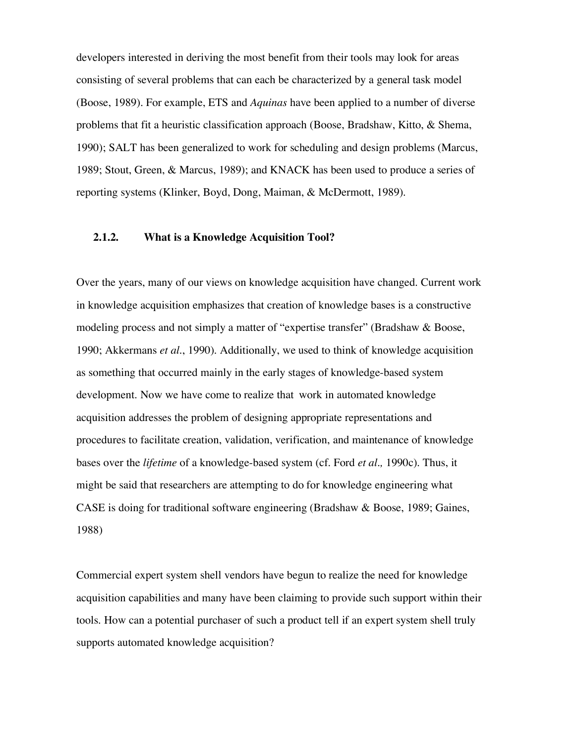developers interested in deriving the most benefit from their tools may look for areas consisting of several problems that can each be characterized by a general task model (Boose, 1989). For example, ETS and *Aquinas* have been applied to a number of diverse problems that fit a heuristic classification approach (Boose, Bradshaw, Kitto, & Shema, 1990); SALT has been generalized to work for scheduling and design problems (Marcus, 1989; Stout, Green, & Marcus, 1989); and KNACK has been used to produce a series of reporting systems (Klinker, Boyd, Dong, Maiman, & McDermott, 1989).

# **2.1.2. What is a Knowledge Acquisition Tool?**

Over the years, many of our views on knowledge acquisition have changed. Current work in knowledge acquisition emphasizes that creation of knowledge bases is a constructive modeling process and not simply a matter of "expertise transfer" (Bradshaw & Boose, 1990; Akkermans *et al.*, 1990). Additionally, we used to think of knowledge acquisition as something that occurred mainly in the early stages of knowledge-based system development. Now we have come to realize that work in automated knowledge acquisition addresses the problem of designing appropriate representations and procedures to facilitate creation, validation, verification, and maintenance of knowledge bases over the *lifetime* of a knowledge-based system (cf. Ford *et al.,* 1990c). Thus, it might be said that researchers are attempting to do for knowledge engineering what CASE is doing for traditional software engineering (Bradshaw & Boose, 1989; Gaines, 1988)

Commercial expert system shell vendors have begun to realize the need for knowledge acquisition capabilities and many have been claiming to provide such support within their tools. How can a potential purchaser of such a product tell if an expert system shell truly supports automated knowledge acquisition?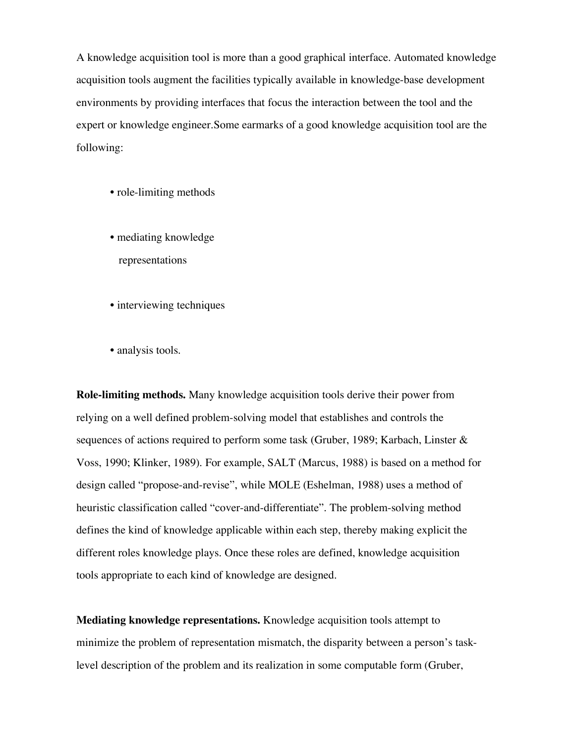A knowledge acquisition tool is more than a good graphical interface. Automated knowledge acquisition tools augment the facilities typically available in knowledge-base development environments by providing interfaces that focus the interaction between the tool and the expert or knowledge engineer.Some earmarks of a good knowledge acquisition tool are the following:

- role-limiting methods
- mediating knowledge representations
- interviewing techniques
- analysis tools.

**Role-limiting methods.** Many knowledge acquisition tools derive their power from relying on a well defined problem-solving model that establishes and controls the sequences of actions required to perform some task (Gruber, 1989; Karbach, Linster & Voss, 1990; Klinker, 1989). For example, SALT (Marcus, 1988) is based on a method for design called "propose-and-revise", while MOLE (Eshelman, 1988) uses a method of heuristic classification called "cover-and-differentiate". The problem-solving method defines the kind of knowledge applicable within each step, thereby making explicit the different roles knowledge plays. Once these roles are defined, knowledge acquisition tools appropriate to each kind of knowledge are designed.

**Mediating knowledge representations.** Knowledge acquisition tools attempt to minimize the problem of representation mismatch, the disparity between a person's tasklevel description of the problem and its realization in some computable form (Gruber,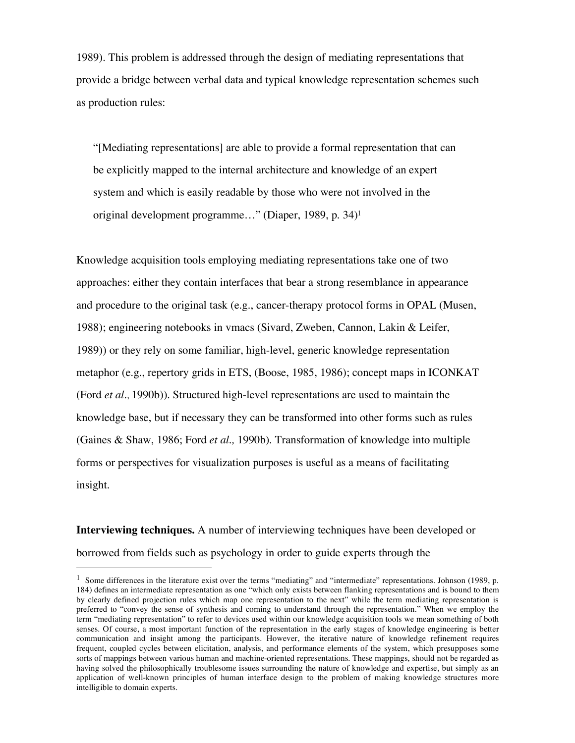1989). This problem is addressed through the design of mediating representations that provide a bridge between verbal data and typical knowledge representation schemes such as production rules:

"[Mediating representations] are able to provide a formal representation that can be explicitly mapped to the internal architecture and knowledge of an expert system and which is easily readable by those who were not involved in the original development programme…" (Diaper, 1989, p. 34)1

Knowledge acquisition tools employing mediating representations take one of two approaches: either they contain interfaces that bear a strong resemblance in appearance and procedure to the original task (e.g., cancer-therapy protocol forms in OPAL (Musen, 1988); engineering notebooks in vmacs (Sivard, Zweben, Cannon, Lakin & Leifer, 1989)) or they rely on some familiar, high-level, generic knowledge representation metaphor (e.g., repertory grids in ETS, (Boose, 1985, 1986); concept maps in ICONKAT (Ford *et al.*, 1990b)). Structured high-level representations are used to maintain the knowledge base, but if necessary they can be transformed into other forms such as rules (Gaines & Shaw, 1986; Ford *et al.,* 1990b). Transformation of knowledge into multiple forms or perspectives for visualization purposes is useful as a means of facilitating insight.

**Interviewing techniques.** A number of interviewing techniques have been developed or borrowed from fields such as psychology in order to guide experts through the

<sup>&</sup>lt;sup>1</sup> Some differences in the literature exist over the terms "mediating" and "intermediate" representations. Johnson (1989, p. 184) defines an intermediate representation as one "which only exists between flanking representations and is bound to them by clearly defined projection rules which map one representation to the next" while the term mediating representation is preferred to "convey the sense of synthesis and coming to understand through the representation." When we employ the term "mediating representation" to refer to devices used within our knowledge acquisition tools we mean something of both senses. Of course, a most important function of the representation in the early stages of knowledge engineering is better communication and insight among the participants. However, the iterative nature of knowledge refinement requires frequent, coupled cycles between elicitation, analysis, and performance elements of the system, which presupposes some sorts of mappings between various human and machine-oriented representations. These mappings, should not be regarded as having solved the philosophically troublesome issues surrounding the nature of knowledge and expertise, but simply as an application of well-known principles of human interface design to the problem of making knowledge structures more intelligible to domain experts.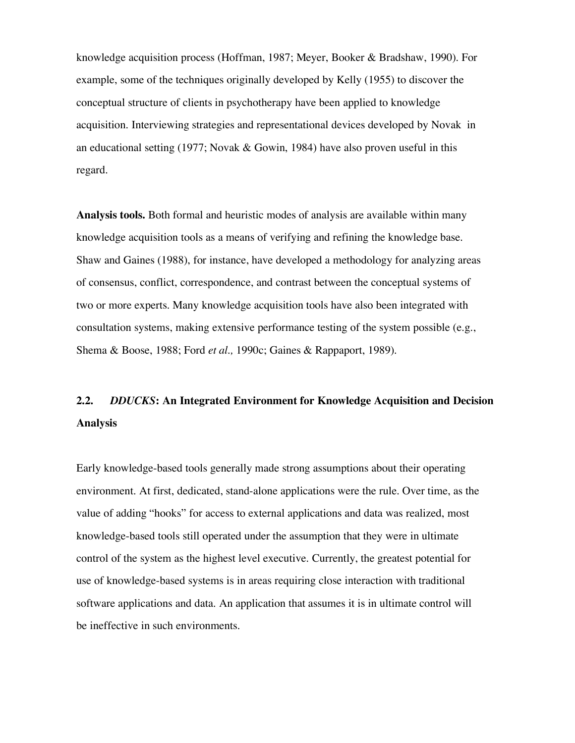knowledge acquisition process (Hoffman, 1987; Meyer, Booker & Bradshaw, 1990). For example, some of the techniques originally developed by Kelly (1955) to discover the conceptual structure of clients in psychotherapy have been applied to knowledge acquisition. Interviewing strategies and representational devices developed by Novak in an educational setting (1977; Novak & Gowin, 1984) have also proven useful in this regard.

**Analysis tools.** Both formal and heuristic modes of analysis are available within many knowledge acquisition tools as a means of verifying and refining the knowledge base. Shaw and Gaines (1988), for instance, have developed a methodology for analyzing areas of consensus, conflict, correspondence, and contrast between the conceptual systems of two or more experts. Many knowledge acquisition tools have also been integrated with consultation systems, making extensive performance testing of the system possible (e.g., Shema & Boose, 1988; Ford *et al.,* 1990c; Gaines & Rappaport, 1989).

# **2.2.** *DDUCKS***: An Integrated Environment for Knowledge Acquisition and Decision Analysis**

Early knowledge-based tools generally made strong assumptions about their operating environment. At first, dedicated, stand-alone applications were the rule. Over time, as the value of adding "hooks" for access to external applications and data was realized, most knowledge-based tools still operated under the assumption that they were in ultimate control of the system as the highest level executive. Currently, the greatest potential for use of knowledge-based systems is in areas requiring close interaction with traditional software applications and data. An application that assumes it is in ultimate control will be ineffective in such environments.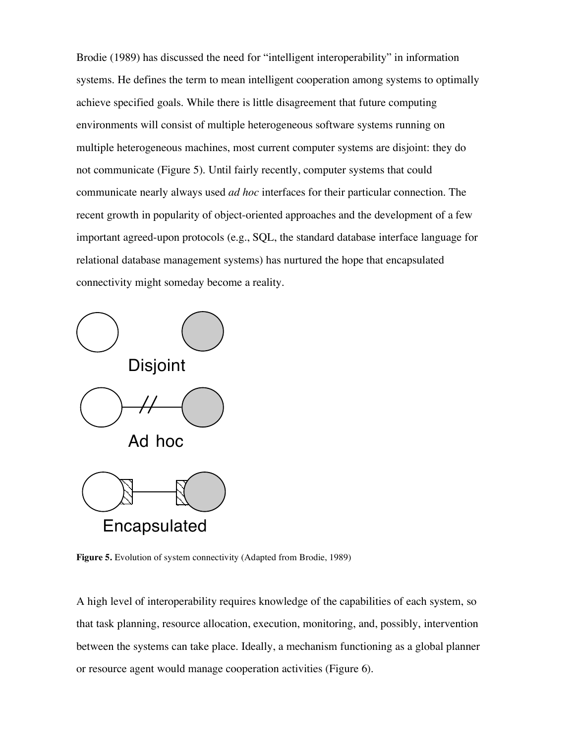Brodie (1989) has discussed the need for "intelligent interoperability" in information systems. He defines the term to mean intelligent cooperation among systems to optimally achieve specified goals. While there is little disagreement that future computing environments will consist of multiple heterogeneous software systems running on multiple heterogeneous machines, most current computer systems are disjoint: they do not communicate (Figure 5). Until fairly recently, computer systems that could communicate nearly always used *ad hoc* interfaces for their particular connection. The recent growth in popularity of object-oriented approaches and the development of a few important agreed-upon protocols (e.g., SQL, the standard database interface language for relational database management systems) has nurtured the hope that encapsulated connectivity might someday become a reality.



**Figure 5.** Evolution of system connectivity (Adapted from Brodie, 1989)

A high level of interoperability requires knowledge of the capabilities of each system, so that task planning, resource allocation, execution, monitoring, and, possibly, intervention between the systems can take place. Ideally, a mechanism functioning as a global planner or resource agent would manage cooperation activities (Figure 6).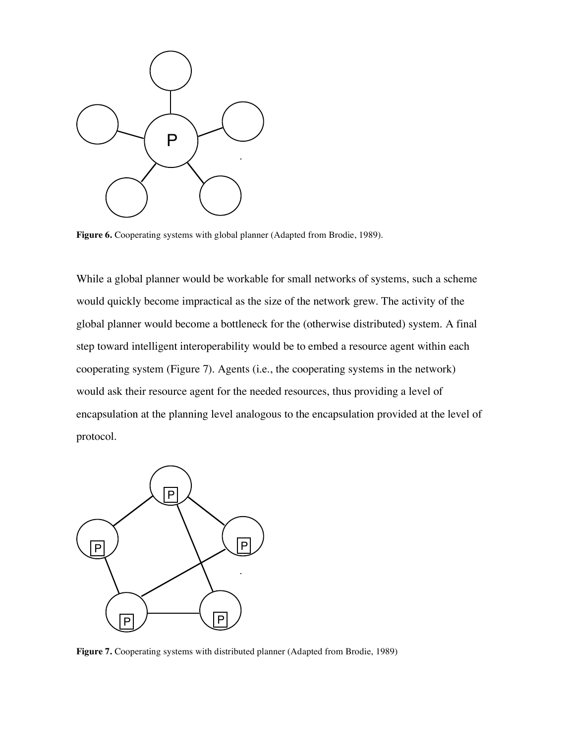

**Figure 6.** Cooperating systems with global planner (Adapted from Brodie, 1989).

While a global planner would be workable for small networks of systems, such a scheme would quickly become impractical as the size of the network grew. The activity of the global planner would become a bottleneck for the (otherwise distributed) system. A final step toward intelligent interoperability would be to embed a resource agent within each cooperating system (Figure 7). Agents (i.e., the cooperating systems in the network) would ask their resource agent for the needed resources, thus providing a level of encapsulation at the planning level analogous to the encapsulation provided at the level of protocol.



**Figure 7.** Cooperating systems with distributed planner (Adapted from Brodie, 1989)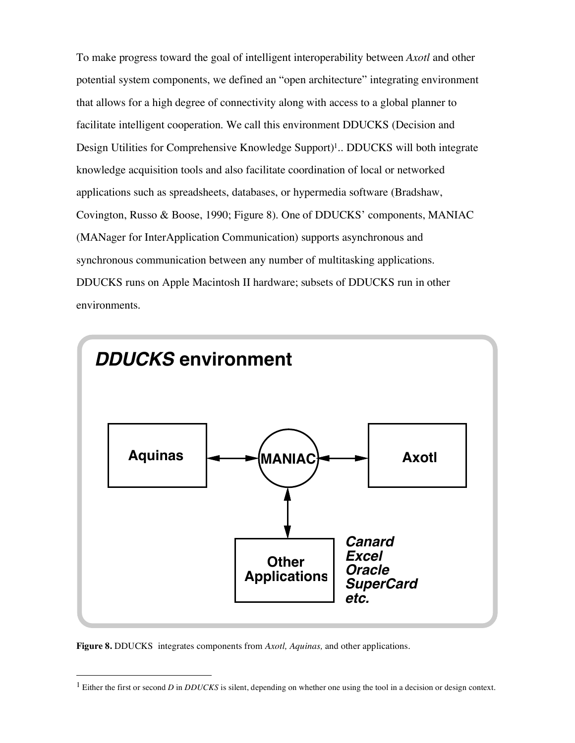To make progress toward the goal of intelligent interoperability between *Axotl* and other potential system components, we defined an "open architecture" integrating environment that allows for a high degree of connectivity along with access to a global planner to facilitate intelligent cooperation. We call this environment DDUCKS (Decision and Design Utilities for Comprehensive Knowledge Support)<sup>1</sup>.. DDUCKS will both integrate knowledge acquisition tools and also facilitate coordination of local or networked applications such as spreadsheets, databases, or hypermedia software (Bradshaw, Covington, Russo & Boose, 1990; Figure 8). One of DDUCKS' components, MANIAC (MANager for InterApplication Communication) supports asynchronous and synchronous communication between any number of multitasking applications. DDUCKS runs on Apple Macintosh II hardware; subsets of DDUCKS run in other environments.



**Figure 8.** DDUCKS integrates components from *Axotl, Aquinas,* and other applications.

<sup>&</sup>lt;sup>1</sup> Either the first or second *D* in *DDUCKS* is silent, depending on whether one using the tool in a decision or design context.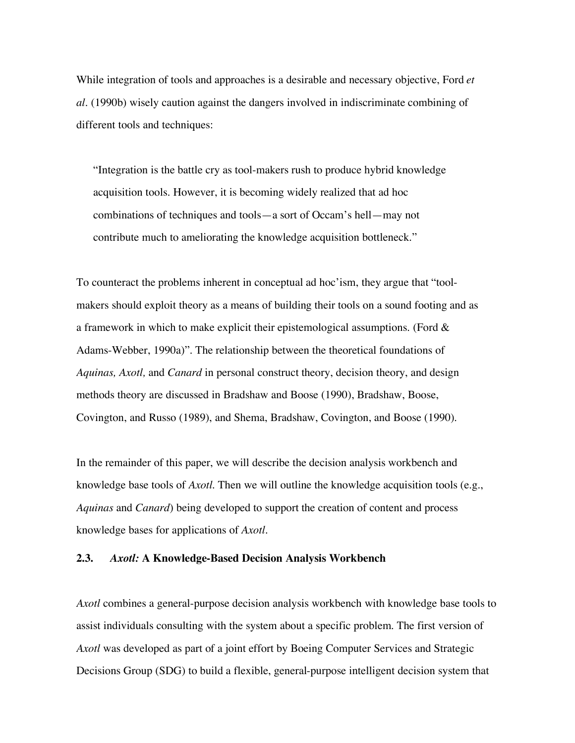While integration of tools and approaches is a desirable and necessary objective, Ford *et al.* (1990b) wisely caution against the dangers involved in indiscriminate combining of different tools and techniques:

"Integration is the battle cry as tool-makers rush to produce hybrid knowledge acquisition tools. However, it is becoming widely realized that ad hoc combinations of techniques and tools—a sort of Occam's hell—may not contribute much to ameliorating the knowledge acquisition bottleneck."

To counteract the problems inherent in conceptual ad hoc'ism, they argue that "toolmakers should exploit theory as a means of building their tools on a sound footing and as a framework in which to make explicit their epistemological assumptions. (Ford & Adams-Webber, 1990a)". The relationship between the theoretical foundations of *Aquinas, Axotl,* and *Canard* in personal construct theory, decision theory, and design methods theory are discussed in Bradshaw and Boose (1990), Bradshaw, Boose, Covington, and Russo (1989), and Shema, Bradshaw, Covington, and Boose (1990).

In the remainder of this paper, we will describe the decision analysis workbench and knowledge base tools of *Axotl*. Then we will outline the knowledge acquisition tools (e.g., *Aquinas* and *Canard*) being developed to support the creation of content and process knowledge bases for applications of *Axotl.*

## **2.3.** *Axotl:* **A Knowledge-Based Decision Analysis Workbench**

*Axotl* combines a general-purpose decision analysis workbench with knowledge base tools to assist individuals consulting with the system about a specific problem. The first version of *Axotl* was developed as part of a joint effort by Boeing Computer Services and Strategic Decisions Group (SDG) to build a flexible, general-purpose intelligent decision system that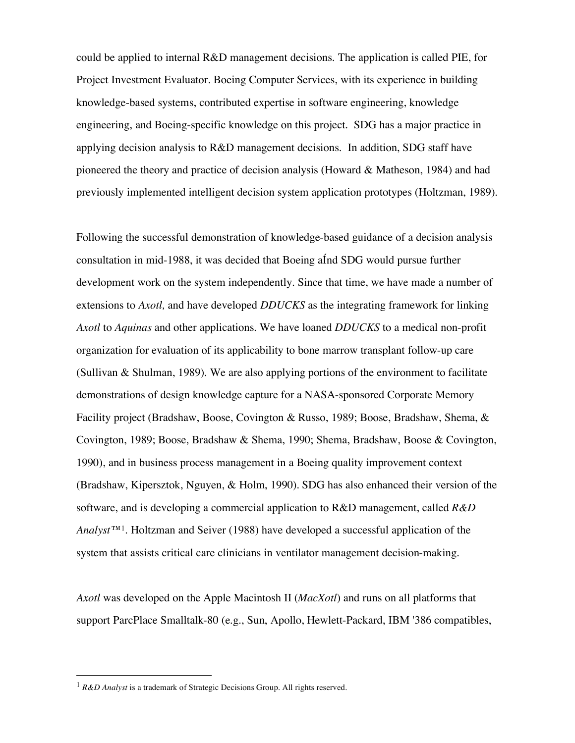could be applied to internal R&D management decisions. The application is called PIE, for Project Investment Evaluator. Boeing Computer Services, with its experience in building knowledge-based systems, contributed expertise in software engineering, knowledge engineering, and Boeing-specific knowledge on this project. SDG has a major practice in applying decision analysis to R&D management decisions. In addition, SDG staff have pioneered the theory and practice of decision analysis (Howard & Matheson, 1984) and had previously implemented intelligent decision system application prototypes (Holtzman, 1989).

Following the successful demonstration of knowledge-based guidance of a decision analysis consultation in mid-1988, it was decided that Boeing aÍnd SDG would pursue further development work on the system independently. Since that time, we have made a number of extensions to *Axotl,* and have developed *DDUCKS* as the integrating framework for linking *Axotl* to *Aquinas* and other applications. We have loaned *DDUCKS* to a medical non-profit organization for evaluation of its applicability to bone marrow transplant follow-up care (Sullivan & Shulman, 1989). We are also applying portions of the environment to facilitate demonstrations of design knowledge capture for a NASA-sponsored Corporate Memory Facility project (Bradshaw, Boose, Covington & Russo, 1989; Boose, Bradshaw, Shema, & Covington, 1989; Boose, Bradshaw & Shema, 1990; Shema, Bradshaw, Boose & Covington, 1990), and in business process management in a Boeing quality improvement context (Bradshaw, Kipersztok, Nguyen, & Holm, 1990). SDG has also enhanced their version of the software, and is developing a commercial application to R&D management, called *R&D Analyst™*1. Holtzman and Seiver (1988) have developed a successful application of the system that assists critical care clinicians in ventilator management decision-making.

*Axotl* was developed on the Apple Macintosh II (*MacXotl*) and runs on all platforms that support ParcPlace Smalltalk-80 (e.g., Sun, Apollo, Hewlett-Packard, IBM '386 compatibles,

 <sup>1</sup> *R&D Analyst* is a trademark of Strategic Decisions Group. All rights reserved.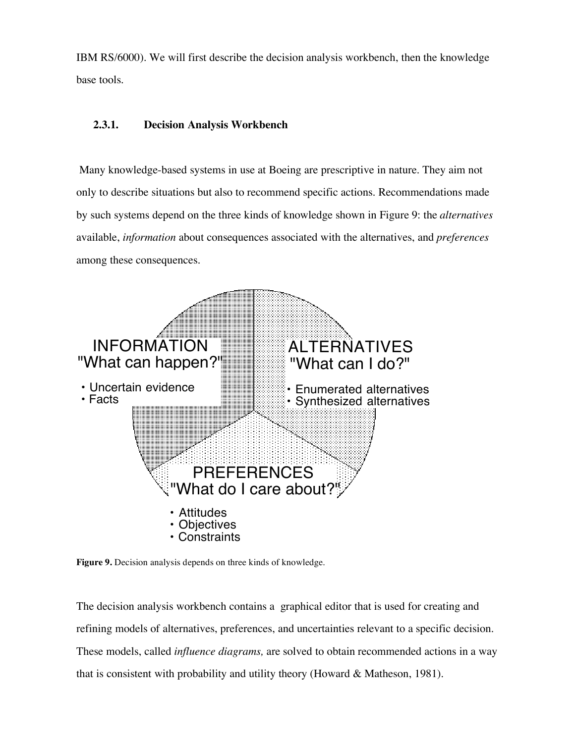IBM RS/6000). We will first describe the decision analysis workbench, then the knowledge base tools.

# **2.3.1. Decision Analysis Workbench**

 Many knowledge-based systems in use at Boeing are prescriptive in nature. They aim not only to describe situations but also to recommend specific actions. Recommendations made by such systems depend on the three kinds of knowledge shown in Figure 9: the *alternatives* available, *information* about consequences associated with the alternatives, and *preferences* among these consequences.



**Figure 9.** Decision analysis depends on three kinds of knowledge.

The decision analysis workbench contains a graphical editor that is used for creating and refining models of alternatives, preferences, and uncertainties relevant to a specific decision. These models, called *influence diagrams,* are solved to obtain recommended actions in a way that is consistent with probability and utility theory (Howard  $&$  Matheson, 1981).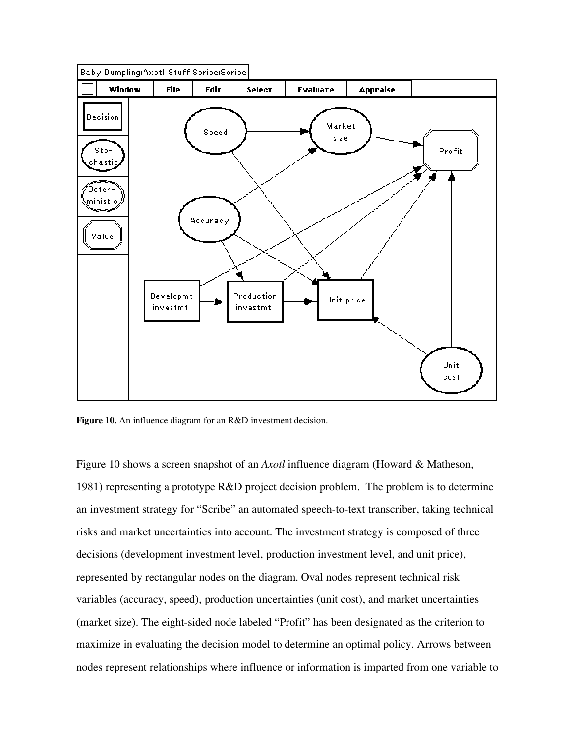

**Figure 10.** An influence diagram for an R&D investment decision.

Figure 10 shows a screen snapshot of an *Axotl* influence diagram (Howard & Matheson, 1981) representing a prototype R&D project decision problem. The problem is to determine an investment strategy for "Scribe" an automated speech-to-text transcriber, taking technical risks and market uncertainties into account. The investment strategy is composed of three decisions (development investment level, production investment level, and unit price), represented by rectangular nodes on the diagram. Oval nodes represent technical risk variables (accuracy, speed), production uncertainties (unit cost), and market uncertainties (market size). The eight-sided node labeled "Profit" has been designated as the criterion to maximize in evaluating the decision model to determine an optimal policy. Arrows between nodes represent relationships where influence or information is imparted from one variable to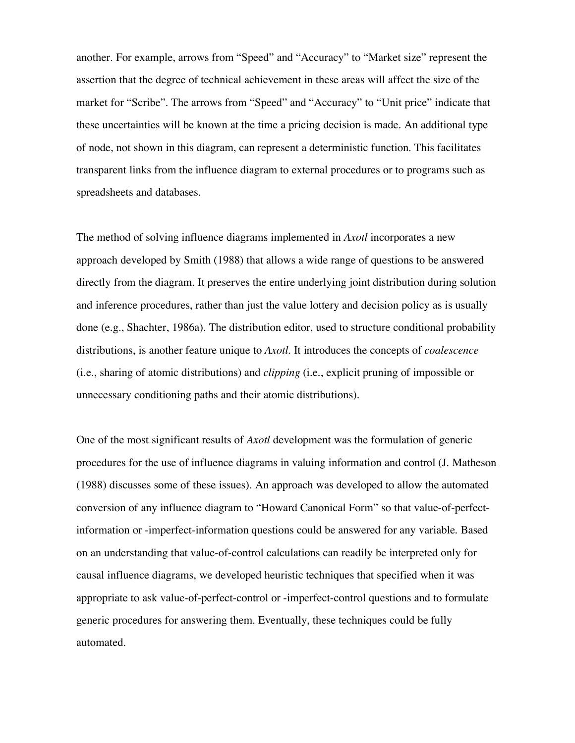another. For example, arrows from "Speed" and "Accuracy" to "Market size" represent the assertion that the degree of technical achievement in these areas will affect the size of the market for "Scribe". The arrows from "Speed" and "Accuracy" to "Unit price" indicate that these uncertainties will be known at the time a pricing decision is made. An additional type of node, not shown in this diagram, can represent a deterministic function. This facilitates transparent links from the influence diagram to external procedures or to programs such as spreadsheets and databases.

The method of solving influence diagrams implemented in *Axotl* incorporates a new approach developed by Smith (1988) that allows a wide range of questions to be answered directly from the diagram. It preserves the entire underlying joint distribution during solution and inference procedures, rather than just the value lottery and decision policy as is usually done (e.g., Shachter, 1986a). The distribution editor, used to structure conditional probability distributions, is another feature unique to *Axotl.* It introduces the concepts of *coalescence*  (i.e., sharing of atomic distributions) and *clipping* (i.e., explicit pruning of impossible or unnecessary conditioning paths and their atomic distributions).

One of the most significant results of *Axotl* development was the formulation of generic procedures for the use of influence diagrams in valuing information and control (J. Matheson (1988) discusses some of these issues). An approach was developed to allow the automated conversion of any influence diagram to "Howard Canonical Form" so that value-of-perfectinformation or -imperfect-information questions could be answered for any variable. Based on an understanding that value-of-control calculations can readily be interpreted only for causal influence diagrams, we developed heuristic techniques that specified when it was appropriate to ask value-of-perfect-control or -imperfect-control questions and to formulate generic procedures for answering them. Eventually, these techniques could be fully automated.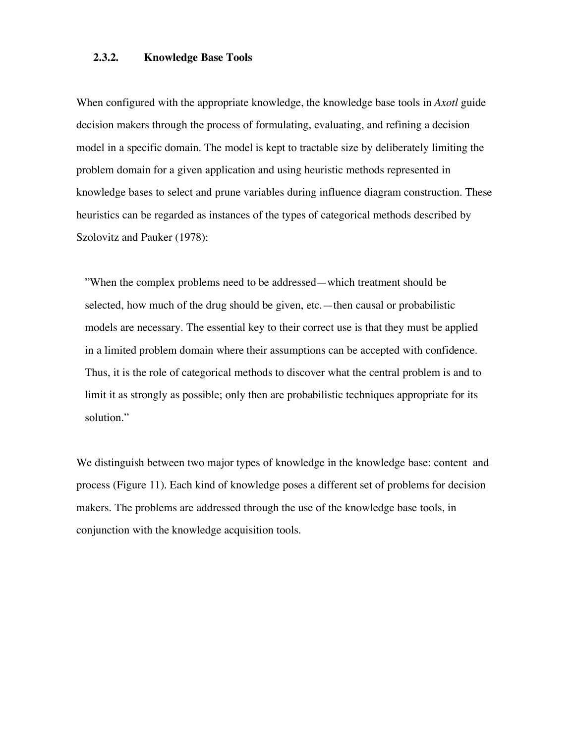### **2.3.2. Knowledge Base Tools**

When configured with the appropriate knowledge, the knowledge base tools in *Axotl* guide decision makers through the process of formulating, evaluating, and refining a decision model in a specific domain. The model is kept to tractable size by deliberately limiting the problem domain for a given application and using heuristic methods represented in knowledge bases to select and prune variables during influence diagram construction. These heuristics can be regarded as instances of the types of categorical methods described by Szolovitz and Pauker (1978):

"When the complex problems need to be addressed—which treatment should be selected, how much of the drug should be given, etc.—then causal or probabilistic models are necessary. The essential key to their correct use is that they must be applied in a limited problem domain where their assumptions can be accepted with confidence. Thus, it is the role of categorical methods to discover what the central problem is and to limit it as strongly as possible; only then are probabilistic techniques appropriate for its solution."

We distinguish between two major types of knowledge in the knowledge base: content and process (Figure 11). Each kind of knowledge poses a different set of problems for decision makers. The problems are addressed through the use of the knowledge base tools, in conjunction with the knowledge acquisition tools.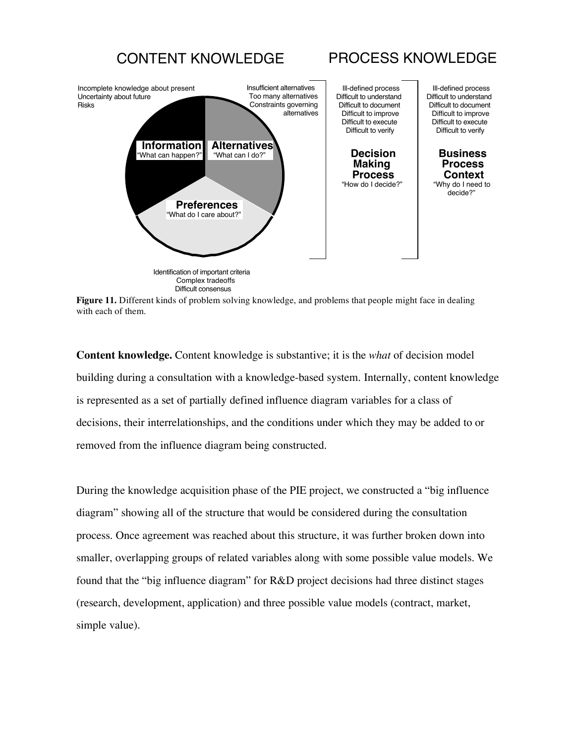

**Figure 11.** Different kinds of problem solving knowledge, and problems that people might face in dealing with each of them.

**Content knowledge.** Content knowledge is substantive; it is the *what* of decision model building during a consultation with a knowledge-based system. Internally, content knowledge is represented as a set of partially defined influence diagram variables for a class of decisions, their interrelationships, and the conditions under which they may be added to or removed from the influence diagram being constructed.

During the knowledge acquisition phase of the PIE project, we constructed a "big influence diagram" showing all of the structure that would be considered during the consultation process. Once agreement was reached about this structure, it was further broken down into smaller, overlapping groups of related variables along with some possible value models. We found that the "big influence diagram" for R&D project decisions had three distinct stages (research, development, application) and three possible value models (contract, market, simple value).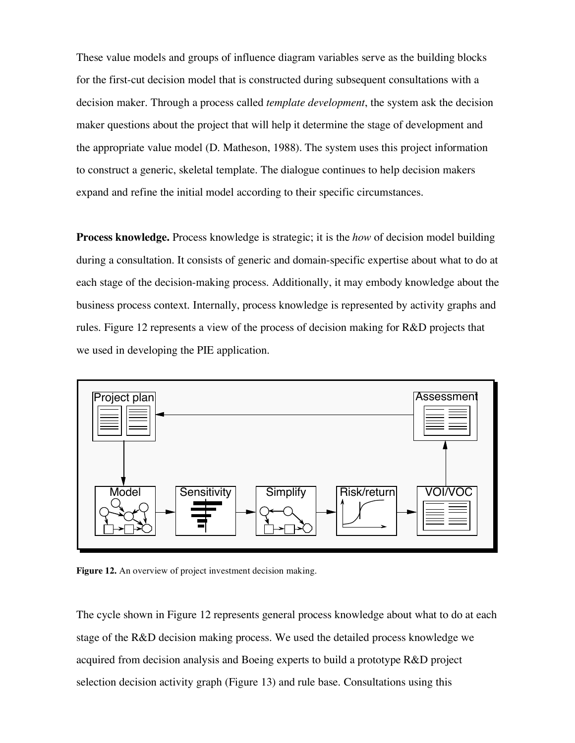These value models and groups of influence diagram variables serve as the building blocks for the first-cut decision model that is constructed during subsequent consultations with a decision maker. Through a process called *template development*, the system ask the decision maker questions about the project that will help it determine the stage of development and the appropriate value model (D. Matheson, 1988). The system uses this project information to construct a generic, skeletal template. The dialogue continues to help decision makers expand and refine the initial model according to their specific circumstances.

**Process knowledge.** Process knowledge is strategic; it is the *how* of decision model building during a consultation. It consists of generic and domain-specific expertise about what to do at each stage of the decision-making process. Additionally, it may embody knowledge about the business process context. Internally, process knowledge is represented by activity graphs and rules. Figure 12 represents a view of the process of decision making for R&D projects that we used in developing the PIE application.



**Figure 12.** An overview of project investment decision making.

The cycle shown in Figure 12 represents general process knowledge about what to do at each stage of the R&D decision making process. We used the detailed process knowledge we acquired from decision analysis and Boeing experts to build a prototype R&D project selection decision activity graph (Figure 13) and rule base. Consultations using this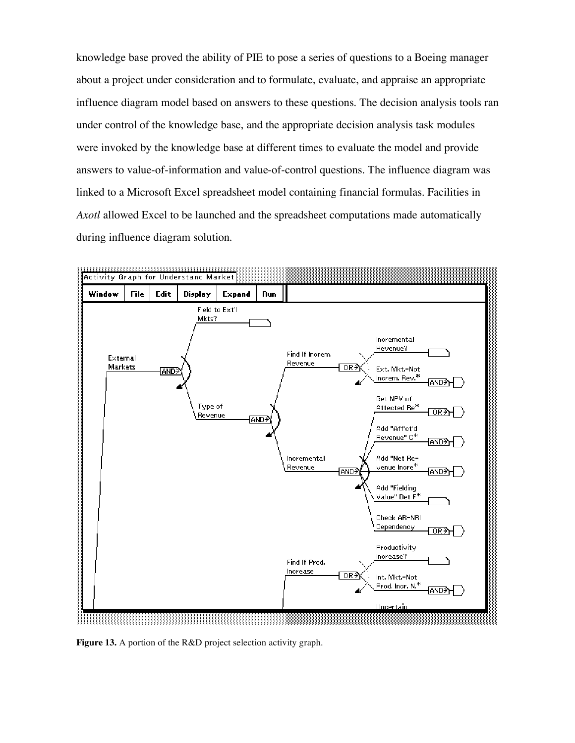knowledge base proved the ability of PIE to pose a series of questions to a Boeing manager about a project under consideration and to formulate, evaluate, and appraise an appropriate influence diagram model based on answers to these questions. The decision analysis tools ran under control of the knowledge base, and the appropriate decision analysis task modules were invoked by the knowledge base at different times to evaluate the model and provide answers to value-of-information and value-of-control questions. The influence diagram was linked to a Microsoft Excel spreadsheet model containing financial formulas. Facilities in *Axotl* allowed Excel to be launched and the spreadsheet computations made automatically during influence diagram solution.



**Figure 13.** A portion of the R&D project selection activity graph.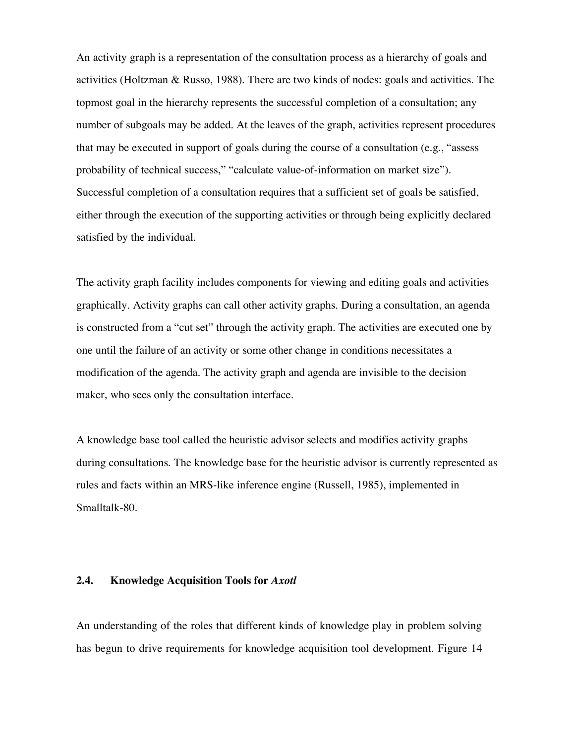An activity graph is a representation of the consultation process as a hierarchy of goals and activities (Holtzman & Russo, 1988). There are two kinds of nodes: goals and activities. The topmost goal in the hierarchy represents the successful completion of a consultation; any number of subgoals may be added. At the leaves of the graph, activities represent procedures that may be executed in support of goals during the course of a consultation (e.g., "assess probability of technical success," "calculate value-of-information on market size"). Successful completion of a consultation requires that a sufficient set of goals be satisfied, either through the execution of the supporting activities or through being explicitly declared satisfied by the individual.

The activity graph facility includes components for viewing and editing goals and activities graphically. Activity graphs can call other activity graphs. During a consultation, an agenda is constructed from a "cut set" through the activity graph. The activities are executed one by one until the failure of an activity or some other change in conditions necessitates a modification of the agenda. The activity graph and agenda are invisible to the decision maker, who sees only the consultation interface.

A knowledge base tool called the heuristic advisor selects and modifies activity graphs during consultations. The knowledge base for the heuristic advisor is currently represented as rules and facts within an MRS-like inference engine (Russell, 1985), implemented in Smalltalk-80.

### **2.4. Knowledge Acquisition Tools for** *Axotl*

An understanding of the roles that different kinds of knowledge play in problem solving has begun to drive requirements for knowledge acquisition tool development. Figure 14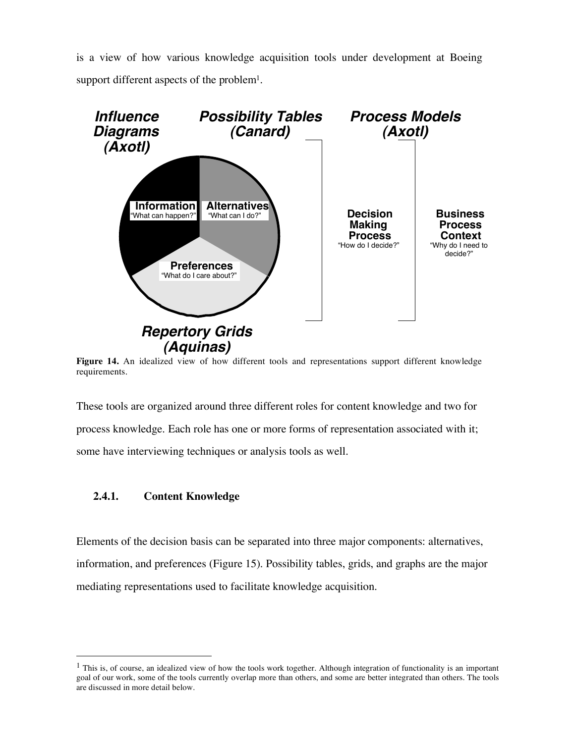is a view of how various knowledge acquisition tools under development at Boeing support different aspects of the problem<sup>1</sup>.



**Figure 14.** An idealized view of how different tools and representations support different knowledge requirements.

These tools are organized around three different roles for content knowledge and two for process knowledge. Each role has one or more forms of representation associated with it; some have interviewing techniques or analysis tools as well.

### **2.4.1. Content Knowledge**

Elements of the decision basis can be separated into three major components: alternatives, information, and preferences (Figure 15). Possibility tables, grids, and graphs are the major mediating representations used to facilitate knowledge acquisition.

 $<sup>1</sup>$  This is, of course, an idealized view of how the tools work together. Although integration of functionality is an important</sup> goal of our work, some of the tools currently overlap more than others, and some are better integrated than others. The tools are discussed in more detail below.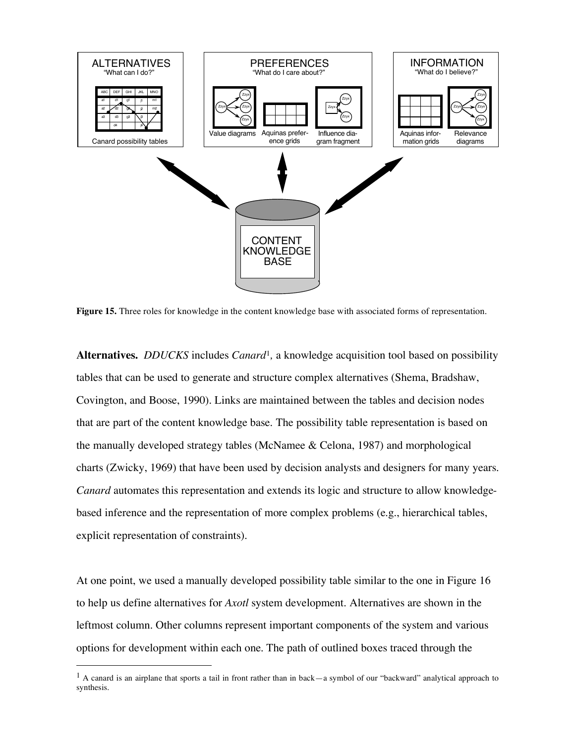

**Figure 15.** Three roles for knowledge in the content knowledge base with associated forms of representation.

**Alternatives.** *DDUCKS* includes *Canard*<sup>1</sup>*,* a knowledge acquisition tool based on possibility tables that can be used to generate and structure complex alternatives (Shema, Bradshaw, Covington, and Boose, 1990). Links are maintained between the tables and decision nodes that are part of the content knowledge base. The possibility table representation is based on the manually developed strategy tables (McNamee & Celona, 1987) and morphological charts (Zwicky, 1969) that have been used by decision analysts and designers for many years. *Canard* automates this representation and extends its logic and structure to allow knowledgebased inference and the representation of more complex problems (e.g., hierarchical tables, explicit representation of constraints).

At one point, we used a manually developed possibility table similar to the one in Figure 16 to help us define alternatives for *Axotl* system development. Alternatives are shown in the leftmost column. Other columns represent important components of the system and various options for development within each one. The path of outlined boxes traced through the

 $<sup>1</sup>$  A canard is an airplane that sports a tail in front rather than in back—a symbol of our "backward" analytical approach to</sup> synthesis.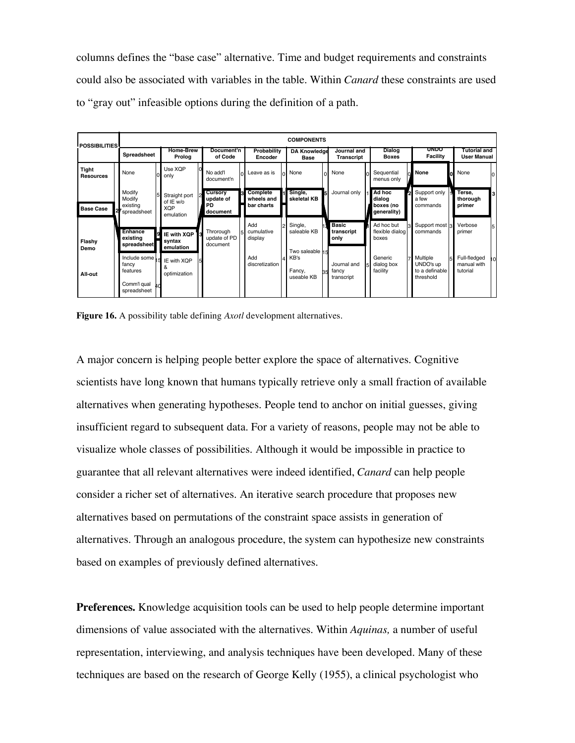columns defines the "base case" alternative. Time and budget requirements and constraints could also be associated with variables in the table. Within *Canard* these constraints are used to "gray out" infeasible options during the definition of a path.

| <b>POSSIBILITIES</b>             | <b>COMPONENTS</b>                                                              |                                                       |  |                                                      |  |                                      |  |                                            |    |                                    |  |                                              |  |                                                      |  |                                         |    |
|----------------------------------|--------------------------------------------------------------------------------|-------------------------------------------------------|--|------------------------------------------------------|--|--------------------------------------|--|--------------------------------------------|----|------------------------------------|--|----------------------------------------------|--|------------------------------------------------------|--|-----------------------------------------|----|
|                                  | Spreadsheet                                                                    | <b>Home-Brew</b><br>Prolog                            |  | Document'n<br>of Code                                |  | Probability<br>Encoder               |  | <b>DA Knowledge</b><br>Base                |    | Journal and<br>Transcript          |  | Dialog<br><b>Boxes</b>                       |  | <b>UNDO</b><br>Facility                              |  | Tutorial and<br><b>User Manual</b>      |    |
| <b>Tight</b><br><b>Resources</b> | None                                                                           | Use XQP<br>only                                       |  | No add'l<br>document'n                               |  | Leave as is                          |  | None                                       |    | None                               |  | Sequential<br>menus only                     |  | None                                                 |  | None                                    |    |
| <b>Base Case</b>                 | Modify<br>Modify<br>existing<br>spreadsheet                                    | Straight port<br>of IE w/o<br><b>XQP</b><br>emulation |  | <b>Cursory</b><br>update of<br><b>PD</b><br>document |  | Complete<br>wheels and<br>bar charts |  | Single,<br>skeletal KB                     |    | Journal only                       |  | Ad hoc<br>dialog<br>boxes (no<br>generality) |  | Support only<br>a few<br>commands                    |  | Terse,<br>thorough<br>primer            | l3 |
| Flashy<br>Demo                   | Enhance<br>existing<br>spreadsheet                                             | IE with XQP<br>9<br>syntax<br>emulation               |  | Throrough<br>update of PD<br>document                |  | Add<br>cumulative<br>display         |  | Single,<br>saleable KB<br>Two saleable h s |    | <b>Basic</b><br>transcript<br>only |  | Ad hoc but<br>flexible dialog<br>boxes       |  | Support most 3<br>commands                           |  | Verbose<br>primer                       | l5 |
| All-out                          | Include some $\frac{1}{15}$<br>fancy<br>features<br>Comm'l qual<br>spreadsheet | IE with XQP<br>&<br>optimization                      |  |                                                      |  | Add<br>discretization                |  | KB's<br>Fancy,<br>useable KB               | 35 | Journal and<br>fancy<br>transcript |  | Generic<br>dialog box<br>facility            |  | Multiple<br>UNDO's up<br>to a definable<br>threshold |  | Full-fledged<br>manual with<br>tutorial |    |

**Figure 16.** A possibility table defining *Axotl* development alternatives.

A major concern is helping people better explore the space of alternatives. Cognitive scientists have long known that humans typically retrieve only a small fraction of available alternatives when generating hypotheses. People tend to anchor on initial guesses, giving insufficient regard to subsequent data. For a variety of reasons, people may not be able to visualize whole classes of possibilities. Although it would be impossible in practice to guarantee that all relevant alternatives were indeed identified, *Canard* can help people consider a richer set of alternatives. An iterative search procedure that proposes new alternatives based on permutations of the constraint space assists in generation of alternatives. Through an analogous procedure, the system can hypothesize new constraints based on examples of previously defined alternatives.

**Preferences.** Knowledge acquisition tools can be used to help people determine important dimensions of value associated with the alternatives. Within *Aquinas,* a number of useful representation, interviewing, and analysis techniques have been developed. Many of these techniques are based on the research of George Kelly (1955), a clinical psychologist who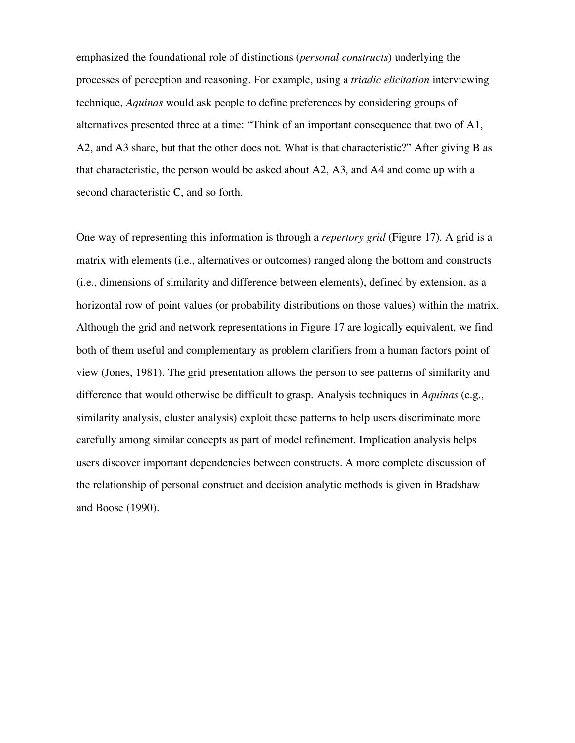emphasized the foundational role of distinctions (*personal constructs*) underlying the processes of perception and reasoning. For example, using a *triadic elicitation* interviewing technique, *Aquinas* would ask people to define preferences by considering groups of alternatives presented three at a time: "Think of an important consequence that two of A1, A2, and A3 share, but that the other does not. What is that characteristic?" After giving B as that characteristic, the person would be asked about A2, A3, and A4 and come up with a second characteristic C, and so forth.

One way of representing this information is through a *repertory grid* (Figure 17). A grid is a matrix with elements (i.e., alternatives or outcomes) ranged along the bottom and constructs (i.e., dimensions of similarity and difference between elements), defined by extension, as a horizontal row of point values (or probability distributions on those values) within the matrix. Although the grid and network representations in Figure 17 are logically equivalent, we find both of them useful and complementary as problem clarifiers from a human factors point of view (Jones, 1981). The grid presentation allows the person to see patterns of similarity and difference that would otherwise be difficult to grasp. Analysis techniques in *Aquinas* (e.g., similarity analysis, cluster analysis) exploit these patterns to help users discriminate more carefully among similar concepts as part of model refinement. Implication analysis helps users discover important dependencies between constructs. A more complete discussion of the relationship of personal construct and decision analytic methods is given in Bradshaw and Boose (1990).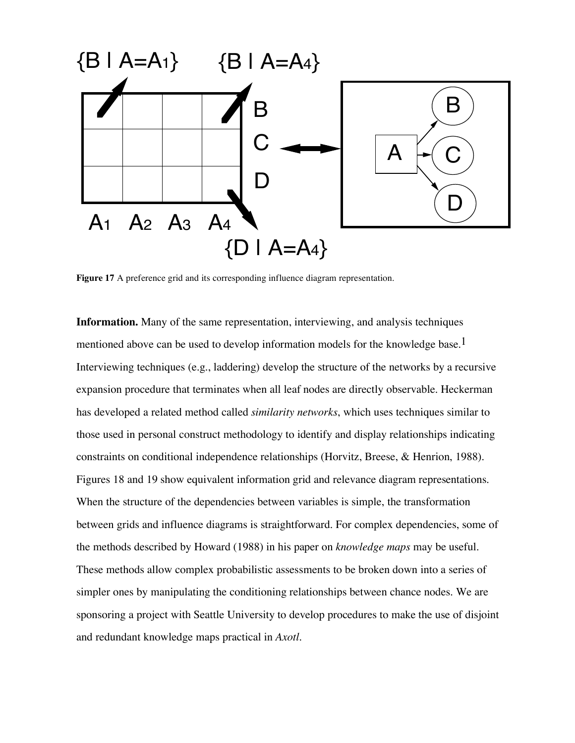

Figure 17 A preference grid and its corresponding influence diagram representation.

**Information.** Many of the same representation, interviewing, and analysis techniques mentioned above can be used to develop information models for the knowledge base.<sup>1</sup> Interviewing techniques (e.g., laddering) develop the structure of the networks by a recursive expansion procedure that terminates when all leaf nodes are directly observable. Heckerman has developed a related method called *similarity networks*, which uses techniques similar to those used in personal construct methodology to identify and display relationships indicating constraints on conditional independence relationships (Horvitz, Breese, & Henrion, 1988). Figures 18 and 19 show equivalent information grid and relevance diagram representations. When the structure of the dependencies between variables is simple, the transformation between grids and influence diagrams is straightforward. For complex dependencies, some of the methods described by Howard (1988) in his paper on *knowledge maps* may be useful. These methods allow complex probabilistic assessments to be broken down into a series of simpler ones by manipulating the conditioning relationships between chance nodes. We are sponsoring a project with Seattle University to develop procedures to make the use of disjoint and redundant knowledge maps practical in *Axotl.*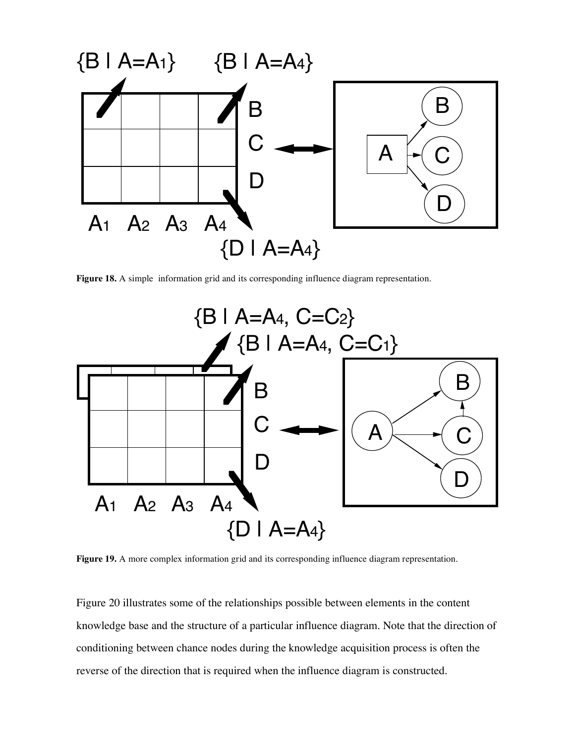

**Figure 18.** A simple information grid and its corresponding influence diagram representation.



**Figure 19.** A more complex information grid and its corresponding influence diagram representation.

Figure 20 illustrates some of the relationships possible between elements in the content knowledge base and the structure of a particular influence diagram. Note that the direction of conditioning between chance nodes during the knowledge acquisition process is often the reverse of the direction that is required when the influence diagram is constructed.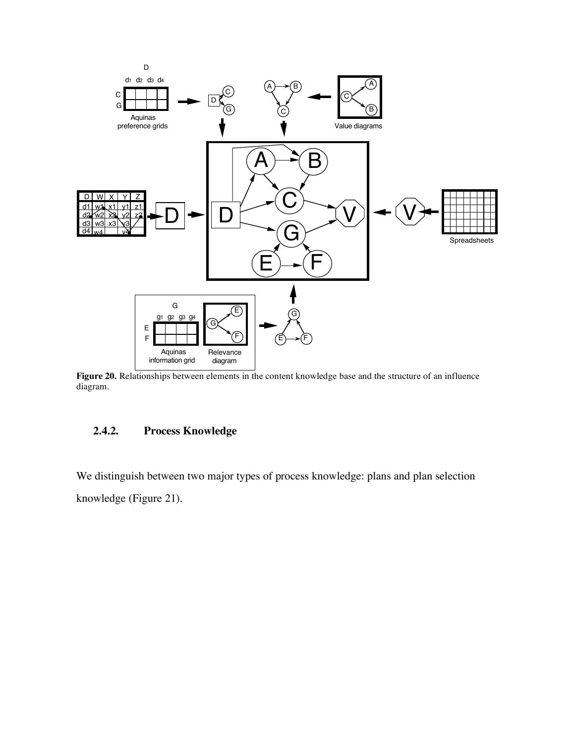

**Figure 20.** Relationships between elements in the content knowledge base and the structure of an influence diagram.

# **2.4.2. Process Knowledge**

We distinguish between two major types of process knowledge: plans and plan selection knowledge (Figure 21).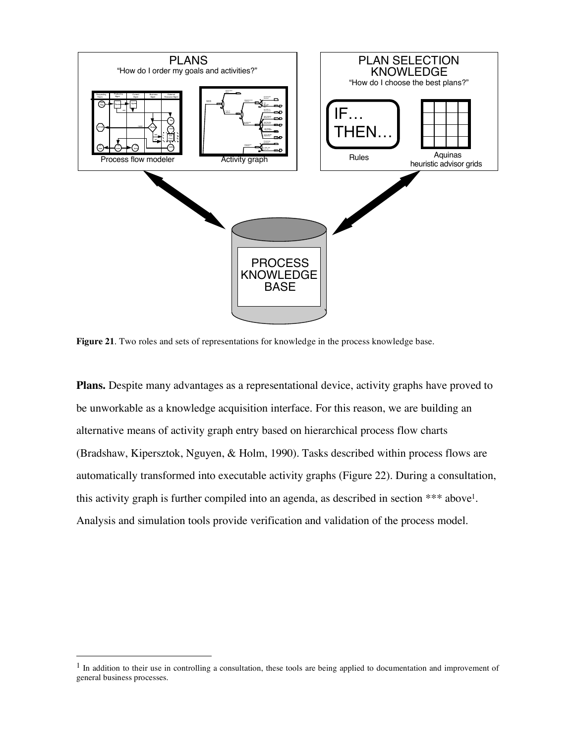

**Figure 21**. Two roles and sets of representations for knowledge in the process knowledge base.

**Plans.** Despite many advantages as a representational device, activity graphs have proved to be unworkable as a knowledge acquisition interface. For this reason, we are building an alternative means of activity graph entry based on hierarchical process flow charts (Bradshaw, Kipersztok, Nguyen, & Holm, 1990). Tasks described within process flows are automatically transformed into executable activity graphs (Figure 22). During a consultation, this activity graph is further compiled into an agenda, as described in section \*\*\* above<sup>1</sup>. Analysis and simulation tools provide verification and validation of the process model.

 $<sup>1</sup>$  In addition to their use in controlling a consultation, these tools are being applied to documentation and improvement of</sup> general business processes.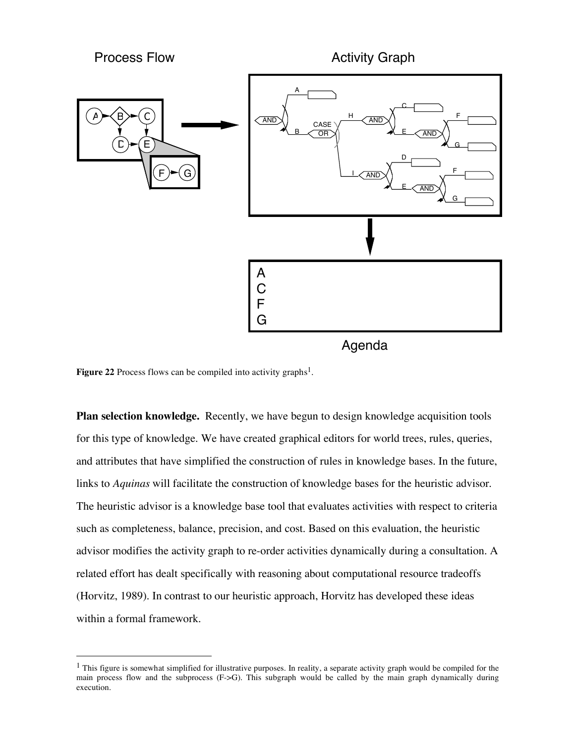

**Figure 22** Process flows can be compiled into activity graphs<sup>1</sup>.

**Plan selection knowledge.** Recently, we have begun to design knowledge acquisition tools for this type of knowledge. We have created graphical editors for world trees, rules, queries, and attributes that have simplified the construction of rules in knowledge bases. In the future, links to *Aquinas* will facilitate the construction of knowledge bases for the heuristic advisor. The heuristic advisor is a knowledge base tool that evaluates activities with respect to criteria such as completeness, balance, precision, and cost. Based on this evaluation, the heuristic advisor modifies the activity graph to re-order activities dynamically during a consultation. A related effort has dealt specifically with reasoning about computational resource tradeoffs (Horvitz, 1989). In contrast to our heuristic approach, Horvitz has developed these ideas within a formal framework.

 $<sup>1</sup>$  This figure is somewhat simplified for illustrative purposes. In reality, a separate activity graph would be compiled for the</sup> main process flow and the subprocess (F->G). This subgraph would be called by the main graph dynamically during execution.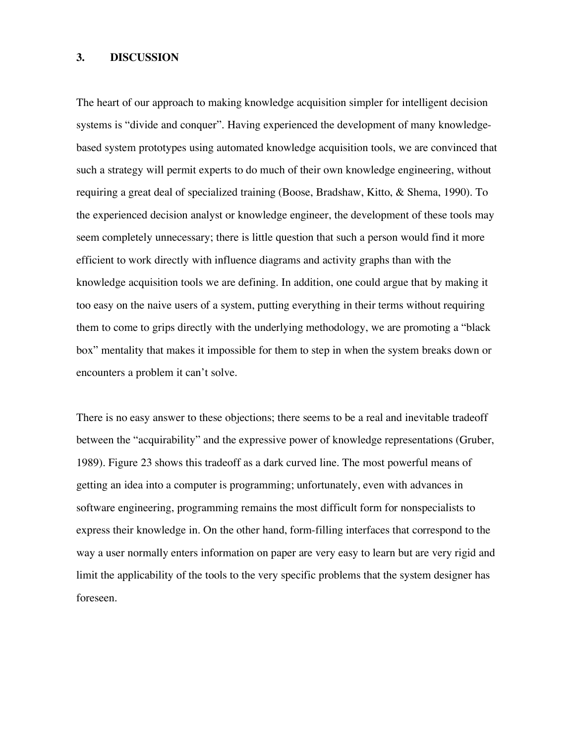### **3. DISCUSSION**

The heart of our approach to making knowledge acquisition simpler for intelligent decision systems is "divide and conquer". Having experienced the development of many knowledgebased system prototypes using automated knowledge acquisition tools, we are convinced that such a strategy will permit experts to do much of their own knowledge engineering, without requiring a great deal of specialized training (Boose, Bradshaw, Kitto, & Shema, 1990). To the experienced decision analyst or knowledge engineer, the development of these tools may seem completely unnecessary; there is little question that such a person would find it more efficient to work directly with influence diagrams and activity graphs than with the knowledge acquisition tools we are defining. In addition, one could argue that by making it too easy on the naive users of a system, putting everything in their terms without requiring them to come to grips directly with the underlying methodology, we are promoting a "black box" mentality that makes it impossible for them to step in when the system breaks down or encounters a problem it can't solve.

There is no easy answer to these objections; there seems to be a real and inevitable tradeoff between the "acquirability" and the expressive power of knowledge representations (Gruber, 1989). Figure 23 shows this tradeoff as a dark curved line. The most powerful means of getting an idea into a computer is programming; unfortunately, even with advances in software engineering, programming remains the most difficult form for nonspecialists to express their knowledge in. On the other hand, form-filling interfaces that correspond to the way a user normally enters information on paper are very easy to learn but are very rigid and limit the applicability of the tools to the very specific problems that the system designer has foreseen.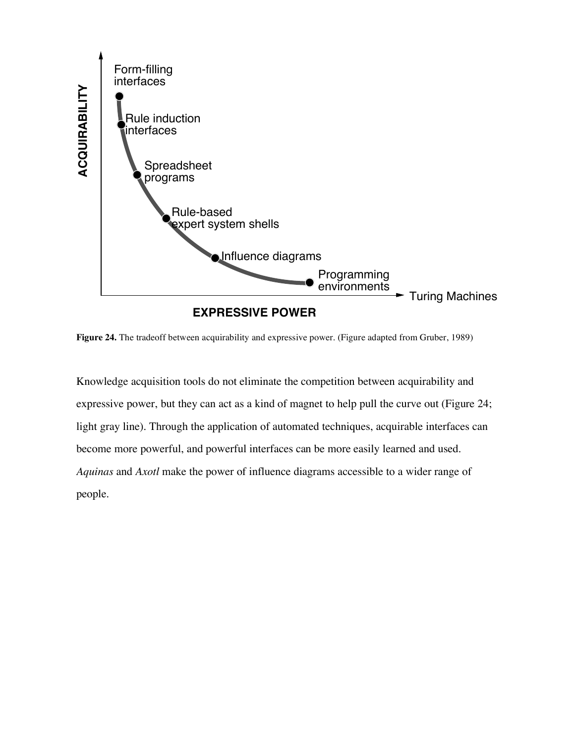

**Figure 24.** The tradeoff between acquirability and expressive power. (Figure adapted from Gruber, 1989)

Knowledge acquisition tools do not eliminate the competition between acquirability and expressive power, but they can act as a kind of magnet to help pull the curve out (Figure 24; light gray line). Through the application of automated techniques, acquirable interfaces can become more powerful, and powerful interfaces can be more easily learned and used. *Aquinas* and *Axotl* make the power of influence diagrams accessible to a wider range of people.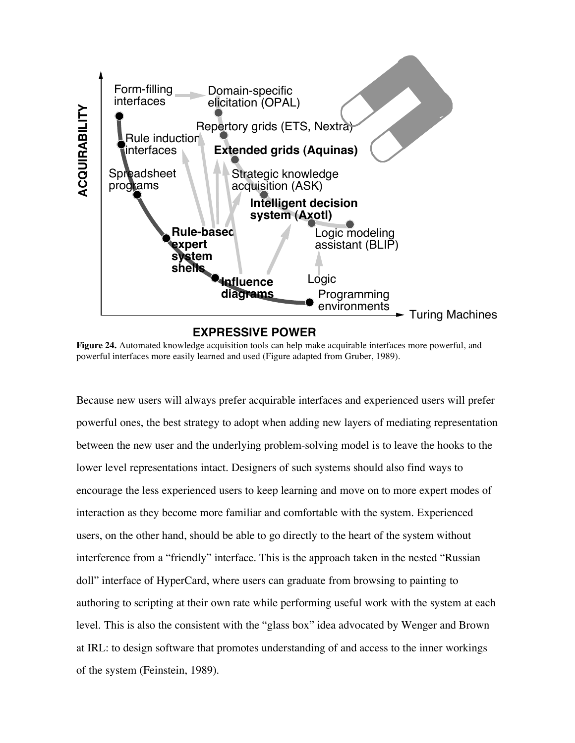

**Figure 24.** Automated knowledge acquisition tools can help make acquirable interfaces more powerful, and powerful interfaces more easily learned and used (Figure adapted from Gruber, 1989).

Because new users will always prefer acquirable interfaces and experienced users will prefer powerful ones, the best strategy to adopt when adding new layers of mediating representation between the new user and the underlying problem-solving model is to leave the hooks to the lower level representations intact. Designers of such systems should also find ways to encourage the less experienced users to keep learning and move on to more expert modes of interaction as they become more familiar and comfortable with the system. Experienced users, on the other hand, should be able to go directly to the heart of the system without interference from a "friendly" interface. This is the approach taken in the nested "Russian doll" interface of HyperCard, where users can graduate from browsing to painting to authoring to scripting at their own rate while performing useful work with the system at each level. This is also the consistent with the "glass box" idea advocated by Wenger and Brown at IRL: to design software that promotes understanding of and access to the inner workings of the system (Feinstein, 1989).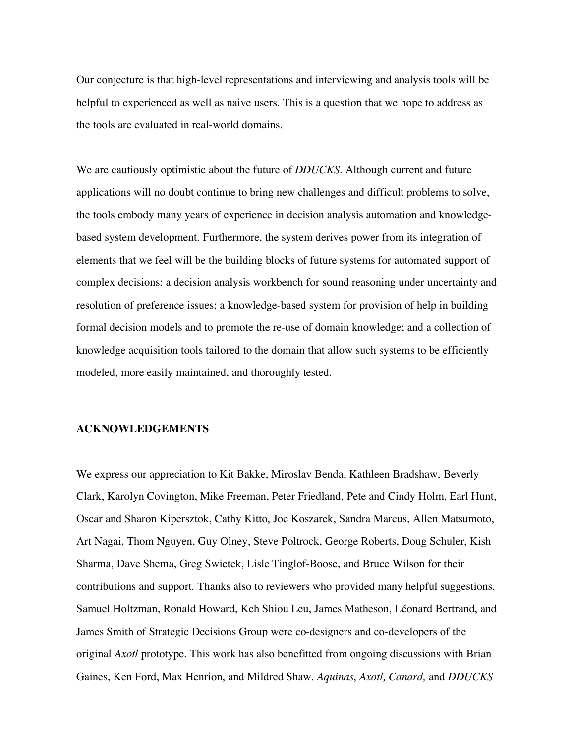Our conjecture is that high-level representations and interviewing and analysis tools will be helpful to experienced as well as naive users. This is a question that we hope to address as the tools are evaluated in real-world domains.

We are cautiously optimistic about the future of *DDUCKS*. Although current and future applications will no doubt continue to bring new challenges and difficult problems to solve, the tools embody many years of experience in decision analysis automation and knowledgebased system development. Furthermore, the system derives power from its integration of elements that we feel will be the building blocks of future systems for automated support of complex decisions: a decision analysis workbench for sound reasoning under uncertainty and resolution of preference issues; a knowledge-based system for provision of help in building formal decision models and to promote the re-use of domain knowledge; and a collection of knowledge acquisition tools tailored to the domain that allow such systems to be efficiently modeled, more easily maintained, and thoroughly tested.

### **ACKNOWLEDGEMENTS**

We express our appreciation to Kit Bakke, Miroslav Benda, Kathleen Bradshaw, Beverly Clark, Karolyn Covington, Mike Freeman, Peter Friedland, Pete and Cindy Holm, Earl Hunt, Oscar and Sharon Kipersztok, Cathy Kitto, Joe Koszarek, Sandra Marcus, Allen Matsumoto, Art Nagai, Thom Nguyen, Guy Olney, Steve Poltrock, George Roberts, Doug Schuler, Kish Sharma, Dave Shema, Greg Swietek, Lisle Tinglof-Boose, and Bruce Wilson for their contributions and support. Thanks also to reviewers who provided many helpful suggestions. Samuel Holtzman, Ronald Howard, Keh Shiou Leu, James Matheson, Léonard Bertrand, and James Smith of Strategic Decisions Group were co-designers and co-developers of the original *Axotl* prototype. This work has also benefitted from ongoing discussions with Brian Gaines, Ken Ford, Max Henrion, and Mildred Shaw. *Aquinas*, *Axotl, Canard,* and *DDUCKS*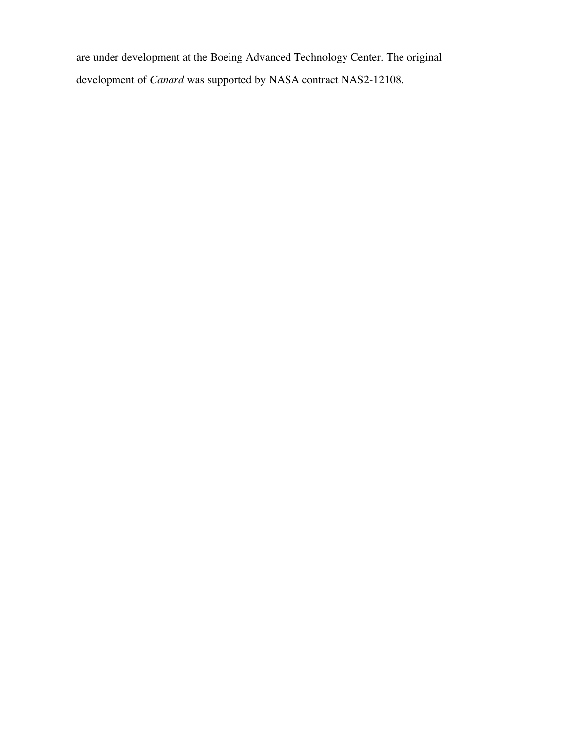are under development at the Boeing Advanced Technology Center. The original development of *Canard* was supported by NASA contract NAS2-12108.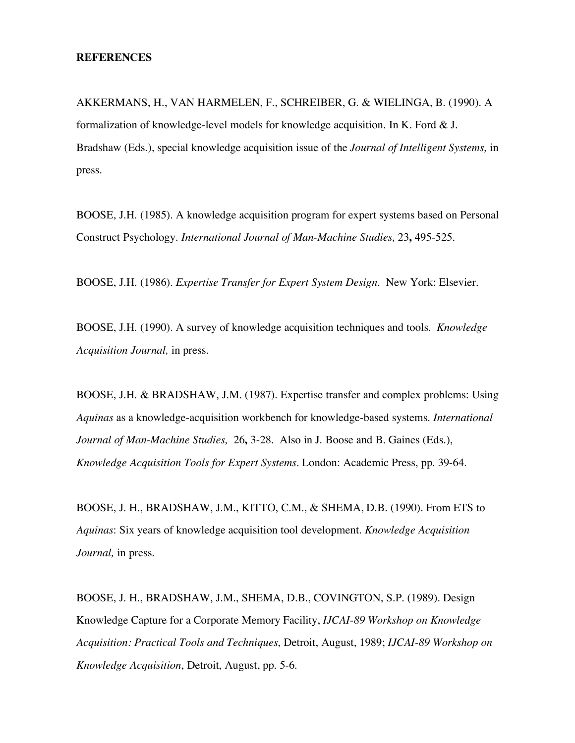AKKERMANS, H., VAN HARMELEN, F., SCHREIBER, G. & WIELINGA, B. (1990). A formalization of knowledge-level models for knowledge acquisition. In K. Ford  $\&$  J. Bradshaw (Eds.), special knowledge acquisition issue of the *Journal of Intelligent Systems,* in press.

BOOSE, J.H. (1985). A knowledge acquisition program for expert systems based on Personal Construct Psychology. *International Journal of Man-Machine Studies,* 23**,** 495-525.

BOOSE, J.H. (1986). *Expertise Transfer for Expert System Design.* New York: Elsevier.

BOOSE, J.H. (1990). A survey of knowledge acquisition techniques and tools. *Knowledge Acquisition Journal,* in press.

BOOSE, J.H. & BRADSHAW, J.M. (1987). Expertise transfer and complex problems: Using *Aquinas* as a knowledge-acquisition workbench for knowledge-based systems. *International Journal of Man-Machine Studies,* 26**,** 3-28. Also in J. Boose and B. Gaines (Eds.), *Knowledge Acquisition Tools for Expert Systems.* London: Academic Press, pp. 39-64.

BOOSE, J. H., BRADSHAW, J.M., KITTO, C.M., & SHEMA, D.B. (1990). From ETS to *Aquinas*: Six years of knowledge acquisition tool development. *Knowledge Acquisition Journal,* in press.

BOOSE, J. H., BRADSHAW, J.M., SHEMA, D.B., COVINGTON, S.P. (1989). Design Knowledge Capture for a Corporate Memory Facility, *IJCAI-89 Workshop on Knowledge Acquisition: Practical Tools and Techniques*, Detroit, August, 1989; *IJCAI-89 Workshop on Knowledge Acquisition*, Detroit, August, pp. 5-6.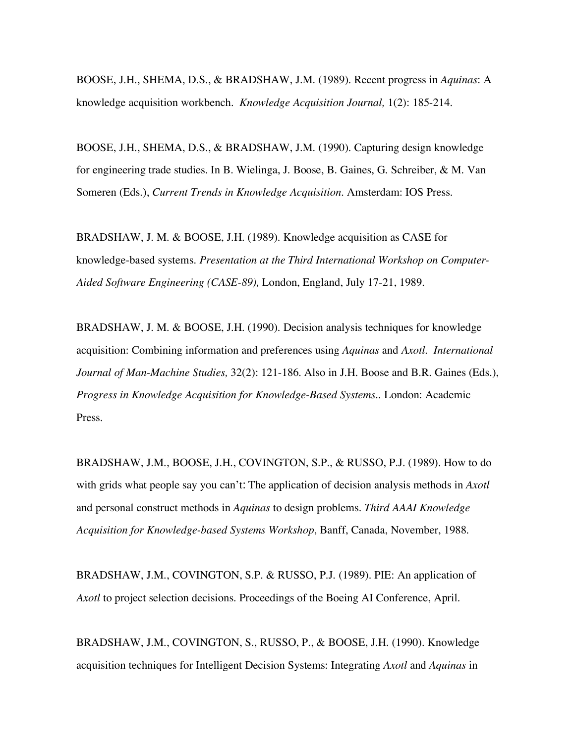BOOSE, J.H., SHEMA, D.S., & BRADSHAW, J.M. (1989). Recent progress in *Aquinas*: A knowledge acquisition workbench. *Knowledge Acquisition Journal,* 1(2): 185-214.

BOOSE, J.H., SHEMA, D.S., & BRADSHAW, J.M. (1990). Capturing design knowledge for engineering trade studies. In B. Wielinga, J. Boose, B. Gaines, G. Schreiber, & M. Van Someren (Eds.), *Current Trends in Knowledge Acquisition.* Amsterdam: IOS Press.

BRADSHAW, J. M. & BOOSE, J.H. (1989). Knowledge acquisition as CASE for knowledge-based systems. *Presentation at the Third International Workshop on Computer-Aided Software Engineering (CASE-89),* London, England, July 17-21, 1989.

BRADSHAW, J. M. & BOOSE, J.H. (1990). Decision analysis techniques for knowledge acquisition: Combining information and preferences using *Aquinas* and *Axotl. International Journal of Man-Machine Studies,* 32(2): 121-186. Also in J.H. Boose and B.R. Gaines (Eds.), *Progress in Knowledge Acquisition for Knowledge-Based Systems*.. London: Academic Press.

BRADSHAW, J.M., BOOSE, J.H., COVINGTON, S.P., & RUSSO, P.J. (1989). How to do with grids what people say you can't: The application of decision analysis methods in *Axotl* and personal construct methods in *Aquinas* to design problems. *Third AAAI Knowledge Acquisition for Knowledge-based Systems Workshop*, Banff, Canada, November, 1988.

BRADSHAW, J.M., COVINGTON, S.P. & RUSSO, P.J. (1989). PIE: An application of *Axotl* to project selection decisions. Proceedings of the Boeing AI Conference, April.

BRADSHAW, J.M., COVINGTON, S., RUSSO, P., & BOOSE, J.H. (1990). Knowledge acquisition techniques for Intelligent Decision Systems: Integrating *Axotl* and *Aquinas* in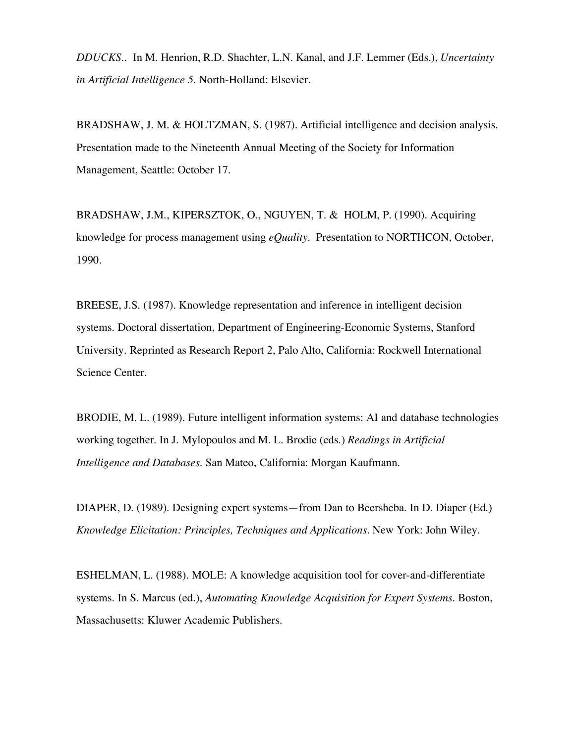*DDUCKS..* In M. Henrion, R.D. Shachter, L.N. Kanal, and J.F. Lemmer (Eds.), *Uncertainty in Artificial Intelligence 5.* North-Holland: Elsevier.

BRADSHAW, J. M. & HOLTZMAN, S. (1987). Artificial intelligence and decision analysis. Presentation made to the Nineteenth Annual Meeting of the Society for Information Management, Seattle: October 17.

BRADSHAW, J.M., KIPERSZTOK, O., NGUYEN, T. & HOLM, P. (1990). Acquiring knowledge for process management using *eQuality.* Presentation to NORTHCON, October, 1990.

BREESE, J.S. (1987). Knowledge representation and inference in intelligent decision systems. Doctoral dissertation, Department of Engineering-Economic Systems, Stanford University. Reprinted as Research Report 2, Palo Alto, California: Rockwell International Science Center.

BRODIE, M. L. (1989). Future intelligent information systems: AI and database technologies working together. In J. Mylopoulos and M. L. Brodie (eds.) *Readings in Artificial Intelligence and Databases.* San Mateo, California: Morgan Kaufmann.

DIAPER, D. (1989). Designing expert systems—from Dan to Beersheba. In D. Diaper (Ed.) *Knowledge Elicitation: Principles, Techniques and Applications.* New York: John Wiley.

ESHELMAN, L. (1988). MOLE: A knowledge acquisition tool for cover-and-differentiate systems. In S. Marcus (ed.), *Automating Knowledge Acquisition for Expert Systems.* Boston, Massachusetts: Kluwer Academic Publishers.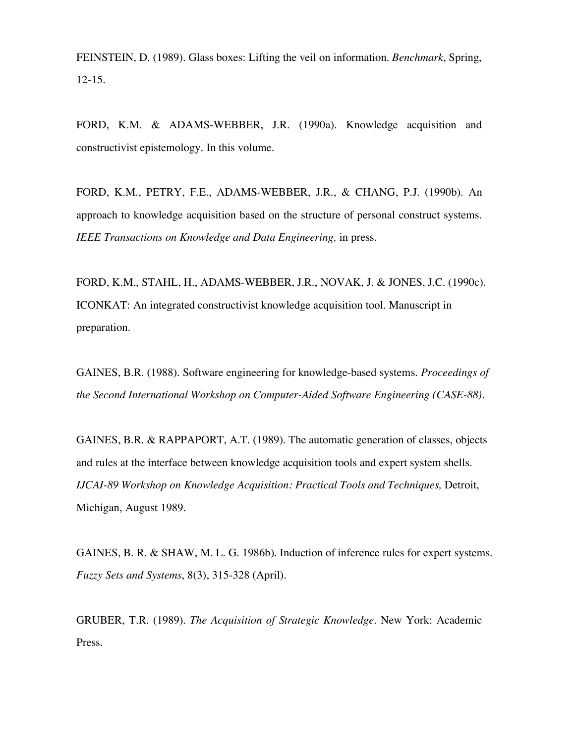FEINSTEIN, D. (1989). Glass boxes: Lifting the veil on information. *Benchmark*, Spring, 12-15.

FORD, K.M. & ADAMS-WEBBER, J.R. (1990a). Knowledge acquisition and constructivist epistemology. In this volume.

FORD, K.M., PETRY, F.E., ADAMS-WEBBER, J.R., & CHANG, P.J. (1990b). An approach to knowledge acquisition based on the structure of personal construct systems. *IEEE Transactions on Knowledge and Data Engineering,* in press.

FORD, K.M., STAHL, H., ADAMS-WEBBER, J.R., NOVAK, J. & JONES, J.C. (1990c). ICONKAT: An integrated constructivist knowledge acquisition tool. Manuscript in preparation.

GAINES, B.R. (1988). Software engineering for knowledge-based systems. *Proceedings of the Second International Workshop on Computer-Aided Software Engineering (CASE-88)*.

GAINES, B.R. & RAPPAPORT, A.T. (1989). The automatic generation of classes, objects and rules at the interface between knowledge acquisition tools and expert system shells. *IJCAI-89 Workshop on Knowledge Acquisition: Practical Tools and Techniques,* Detroit, Michigan, August 1989.

GAINES, B. R. & SHAW, M. L. G. 1986b). Induction of inference rules for expert systems. *Fuzzy Sets and Systems*, 8(3), 315-328 (April).

GRUBER, T.R. (1989). *The Acquisition of Strategic Knowledge.* New York: Academic Press.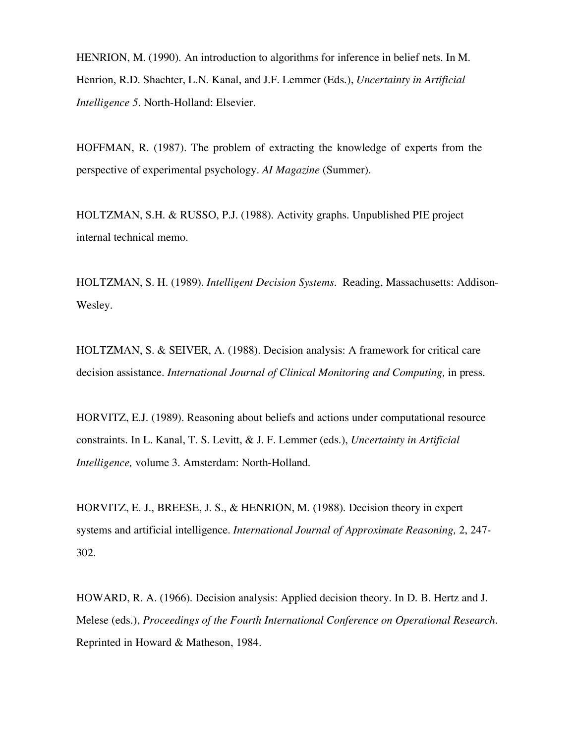HENRION, M. (1990). An introduction to algorithms for inference in belief nets. In M. Henrion, R.D. Shachter, L.N. Kanal, and J.F. Lemmer (Eds.), *Uncertainty in Artificial Intelligence 5.* North-Holland: Elsevier.

HOFFMAN, R. (1987). The problem of extracting the knowledge of experts from the perspective of experimental psychology. *AI Magazine* (Summer).

HOLTZMAN, S.H. & RUSSO, P.J. (1988). Activity graphs. Unpublished PIE project internal technical memo.

HOLTZMAN, S. H. (1989). *Intelligent Decision Systems.* Reading, Massachusetts: Addison-Wesley.

HOLTZMAN, S. & SEIVER, A. (1988). Decision analysis: A framework for critical care decision assistance. *International Journal of Clinical Monitoring and Computing,* in press.

HORVITZ, E.J. (1989). Reasoning about beliefs and actions under computational resource constraints. In L. Kanal, T. S. Levitt, & J. F. Lemmer (eds.), *Uncertainty in Artificial Intelligence,* volume 3. Amsterdam: North-Holland.

HORVITZ, E. J., BREESE, J. S., & HENRION, M. (1988). Decision theory in expert systems and artificial intelligence. *International Journal of Approximate Reasoning,* 2, 247- 302.

HOWARD, R. A. (1966). Decision analysis: Applied decision theory. In D. B. Hertz and J. Melese (eds.), *Proceedings of the Fourth International Conference on Operational Research.*  Reprinted in Howard & Matheson, 1984.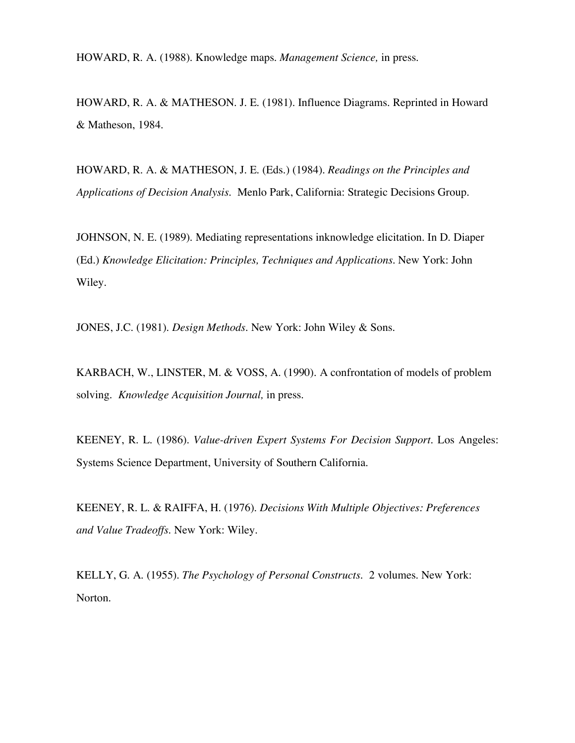HOWARD, R. A. (1988). Knowledge maps. *Management Science,* in press.

HOWARD, R. A. & MATHESON. J. E. (1981). Influence Diagrams. Reprinted in Howard & Matheson, 1984.

HOWARD, R. A. & MATHESON, J. E. (Eds.) (1984). *Readings on the Principles and Applications of Decision Analysis.* Menlo Park, California: Strategic Decisions Group.

JOHNSON, N. E. (1989). Mediating representations inknowledge elicitation. In D. Diaper (Ed.) *Knowledge Elicitation: Principles, Techniques and Applications.* New York: John Wiley.

JONES, J.C. (1981). *Design Methods.* New York: John Wiley & Sons.

KARBACH, W., LINSTER, M. & VOSS, A. (1990). A confrontation of models of problem solving. *Knowledge Acquisition Journal,* in press.

KEENEY, R. L. (1986). *Value-driven Expert Systems For Decision Support.* Los Angeles: Systems Science Department, University of Southern California.

KEENEY, R. L. & RAIFFA, H. (1976). *Decisions With Multiple Objectives: Preferences and Value Tradeoffs.* New York: Wiley.

KELLY, G. A. (1955). *The Psychology of Personal Constructs.* 2 volumes. New York: Norton.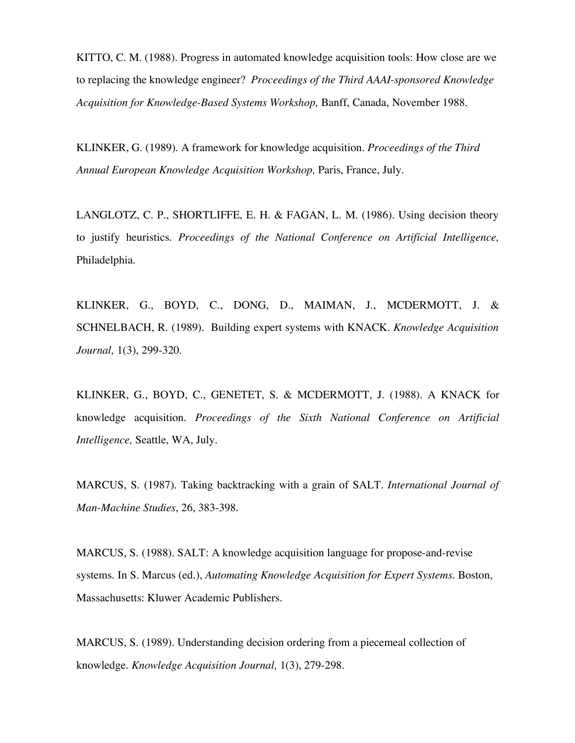KITTO, C. M. (1988). Progress in automated knowledge acquisition tools: How close are we to replacing the knowledge engineer? *Proceedings of the Third AAAI-sponsored Knowledge Acquisition for Knowledge-Based Systems Workshop,* Banff, Canada, November 1988.

KLINKER, G. (1989). A framework for knowledge acquisition. *Proceedings of the Third Annual European Knowledge Acquisition Workshop,* Paris, France, July.

LANGLOTZ, C. P., SHORTLIFFE, E. H. & FAGAN, L. M. (1986). Using decision theory to justify heuristics. *Proceedings of the National Conference on Artificial Intelligence,* Philadelphia.

KLINKER, G., BOYD, C., DONG, D., MAIMAN, J., MCDERMOTT, J. & SCHNELBACH, R. (1989). Building expert systems with KNACK. *Knowledge Acquisition Journal,* 1(3), 299-320.

KLINKER, G., BOYD, C., GENETET, S. & MCDERMOTT, J. (1988). A KNACK for knowledge acquisition. *Proceedings of the Sixth National Conference on Artificial Intelligence,* Seattle, WA, July.

MARCUS, S. (1987). Taking backtracking with a grain of SALT. *International Journal of Man-Machine Studies*, 26, 383-398.

MARCUS, S. (1988). SALT: A knowledge acquisition language for propose-and-revise systems. In S. Marcus (ed.), *Automating Knowledge Acquisition for Expert Systems.* Boston, Massachusetts: Kluwer Academic Publishers.

MARCUS, S. (1989). Understanding decision ordering from a piecemeal collection of knowledge. *Knowledge Acquisition Journal,* 1(3), 279-298.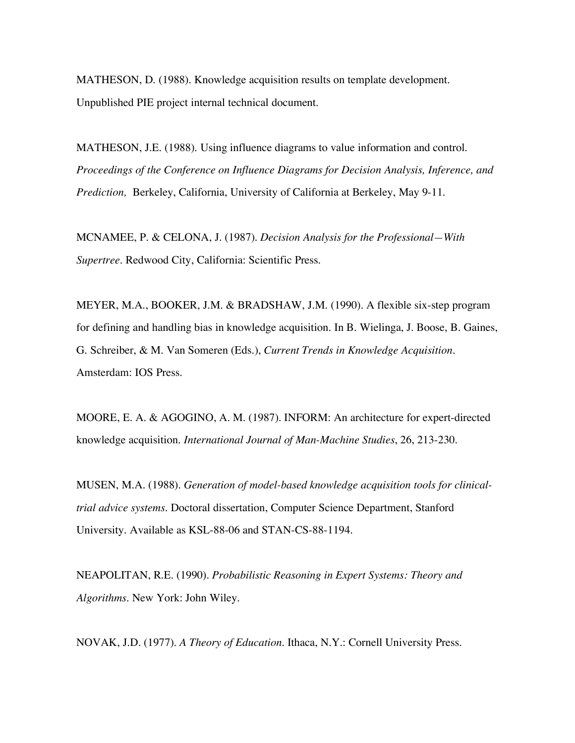MATHESON, D. (1988). Knowledge acquisition results on template development. Unpublished PIE project internal technical document.

MATHESON, J.E. (1988). Using influence diagrams to value information and control. *Proceedings of the Conference on Influence Diagrams for Decision Analysis, Inference, and Prediction,* Berkeley, California, University of California at Berkeley, May 9-11.

MCNAMEE, P. & CELONA, J. (1987). *Decision Analysis for the Professional—With Supertree.* Redwood City, California: Scientific Press.

MEYER, M.A., BOOKER, J.M. & BRADSHAW, J.M. (1990). A flexible six-step program for defining and handling bias in knowledge acquisition. In B. Wielinga, J. Boose, B. Gaines, G. Schreiber, & M. Van Someren (Eds.), *Current Trends in Knowledge Acquisition.* Amsterdam: IOS Press.

MOORE, E. A. & AGOGINO, A. M. (1987). INFORM: An architecture for expert-directed knowledge acquisition. *International Journal of Man-Machine Studies*, 26, 213-230.

MUSEN, M.A. (1988). *Generation of model-based knowledge acquisition tools for clinicaltrial advice systems.* Doctoral dissertation, Computer Science Department, Stanford University. Available as KSL-88-06 and STAN-CS-88-1194.

NEAPOLITAN, R.E. (1990). *Probabilistic Reasoning in Expert Systems: Theory and Algorithms.* New York: John Wiley.

NOVAK, J.D. (1977). *A Theory of Education.* Ithaca, N.Y.: Cornell University Press.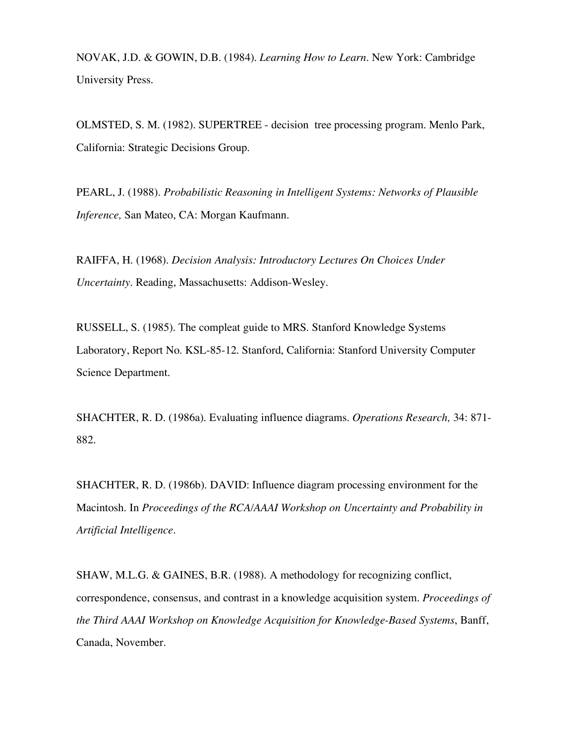NOVAK, J.D. & GOWIN, D.B. (1984). *Learning How to Learn.* New York: Cambridge University Press.

OLMSTED, S. M. (1982). SUPERTREE - decision tree processing program. Menlo Park, California: Strategic Decisions Group.

PEARL, J. (1988). *Probabilistic Reasoning in Intelligent Systems: Networks of Plausible Inference,* San Mateo, CA: Morgan Kaufmann.

RAIFFA, H. (1968). *Decision Analysis: Introductory Lectures On Choices Under Uncertainty.* Reading, Massachusetts: Addison-Wesley.

RUSSELL, S. (1985). The compleat guide to MRS. Stanford Knowledge Systems Laboratory, Report No. KSL-85-12. Stanford, California: Stanford University Computer Science Department.

SHACHTER, R. D. (1986a). Evaluating influence diagrams. *Operations Research,* 34: 871- 882.

SHACHTER, R. D. (1986b). DAVID: Influence diagram processing environment for the Macintosh. In *Proceedings of the RCA/AAAI Workshop on Uncertainty and Probability in Artificial Intelligence.*

SHAW, M.L.G. & GAINES, B.R. (1988). A methodology for recognizing conflict, correspondence, consensus, and contrast in a knowledge acquisition system. *Proceedings of the Third AAAI Workshop on Knowledge Acquisition for Knowledge-Based Systems*, Banff, Canada, November.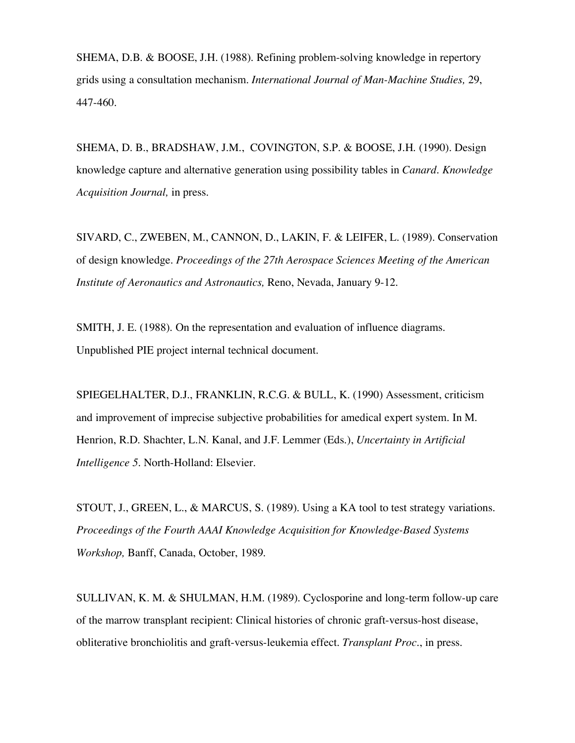SHEMA, D.B. & BOOSE, J.H. (1988). Refining problem-solving knowledge in repertory grids using a consultation mechanism. *International Journal of Man-Machine Studies,* 29, 447-460.

SHEMA, D. B., BRADSHAW, J.M., COVINGTON, S.P. & BOOSE, J.H. (1990). Design knowledge capture and alternative generation using possibility tables in *Canard. Knowledge Acquisition Journal,* in press.

SIVARD, C., ZWEBEN, M., CANNON, D., LAKIN, F. & LEIFER, L. (1989). Conservation of design knowledge. *Proceedings of the 27th Aerospace Sciences Meeting of the American Institute of Aeronautics and Astronautics,* Reno, Nevada, January 9-12.

SMITH, J. E. (1988). On the representation and evaluation of influence diagrams. Unpublished PIE project internal technical document.

SPIEGELHALTER, D.J., FRANKLIN, R.C.G. & BULL, K. (1990) Assessment, criticism and improvement of imprecise subjective probabilities for amedical expert system. In M. Henrion, R.D. Shachter, L.N. Kanal, and J.F. Lemmer (Eds.), *Uncertainty in Artificial Intelligence 5.* North-Holland: Elsevier.

STOUT, J., GREEN, L., & MARCUS, S. (1989). Using a KA tool to test strategy variations. *Proceedings of the Fourth AAAI Knowledge Acquisition for Knowledge-Based Systems Workshop,* Banff, Canada, October, 1989.

SULLIVAN, K. M. & SHULMAN, H.M. (1989). Cyclosporine and long-term follow-up care of the marrow transplant recipient: Clinical histories of chronic graft-versus-host disease, obliterative bronchiolitis and graft-versus-leukemia effect. *Transplant Proc.*, in press.